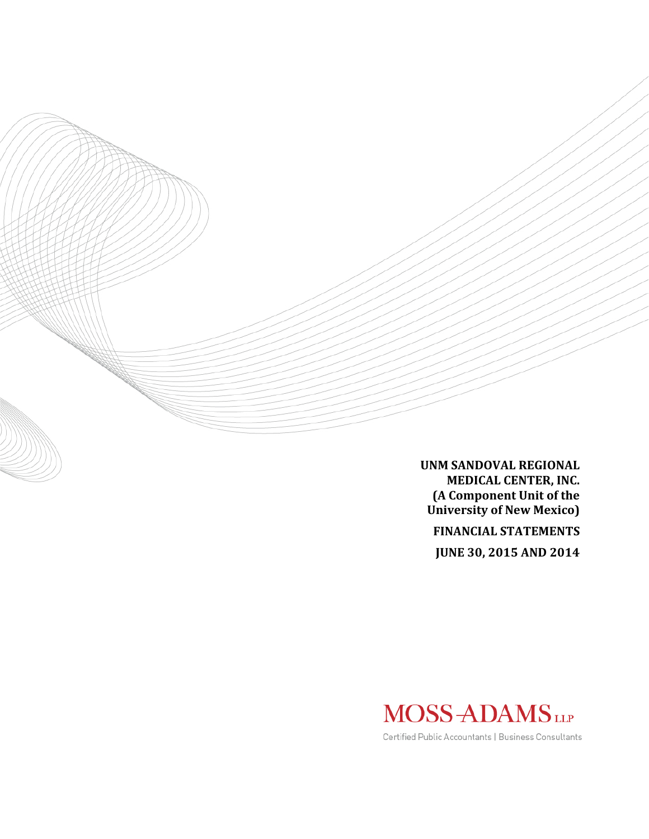

**UNM SANDOVAL REGIONAL MEDICAL CENTER, INC. (A Component Unit of the University of New Mexico)**

**FINANCIAL STATEMENTS**

**JUNE 30, 2015 AND 2014**



Certified Public Accountants | Business Consultants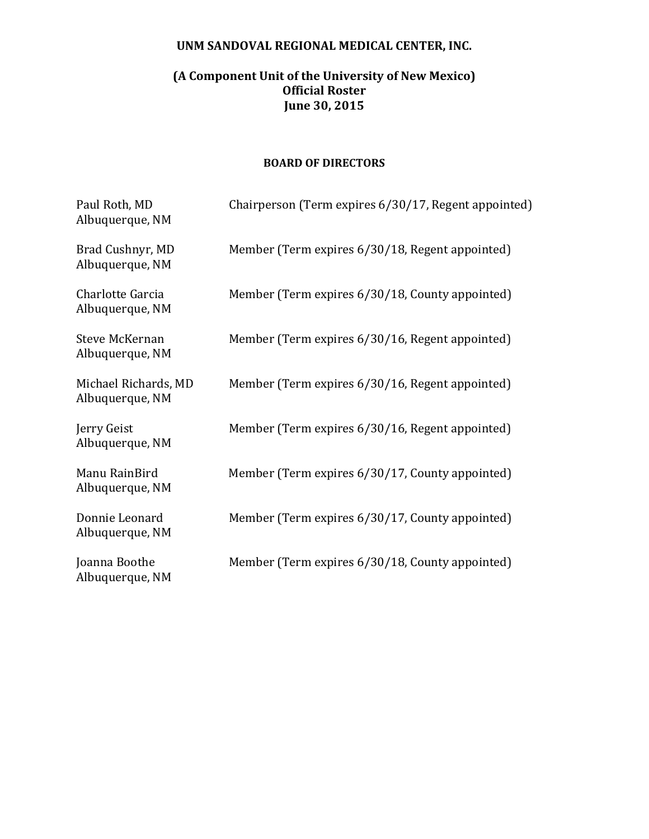# **UNM SANDOVAL REGIONAL MEDICAL CENTER, INC.**

### **(A Component Unit of the University of New Mexico) Official Roster June 30, 2015**

#### **BOARD OF DIRECTORS**

| Paul Roth, MD<br>Albuquerque, NM        | Chairperson (Term expires 6/30/17, Regent appointed) |
|-----------------------------------------|------------------------------------------------------|
| Brad Cushnyr, MD<br>Albuquerque, NM     | Member (Term expires 6/30/18, Regent appointed)      |
| Charlotte Garcia<br>Albuquerque, NM     | Member (Term expires 6/30/18, County appointed)      |
| Steve McKernan<br>Albuquerque, NM       | Member (Term expires 6/30/16, Regent appointed)      |
| Michael Richards, MD<br>Albuquerque, NM | Member (Term expires 6/30/16, Regent appointed)      |
| Jerry Geist<br>Albuquerque, NM          | Member (Term expires 6/30/16, Regent appointed)      |
| Manu RainBird<br>Albuquerque, NM        | Member (Term expires 6/30/17, County appointed)      |
| Donnie Leonard<br>Albuquerque, NM       | Member (Term expires 6/30/17, County appointed)      |
| Joanna Boothe<br>Albuquerque, NM        | Member (Term expires 6/30/18, County appointed)      |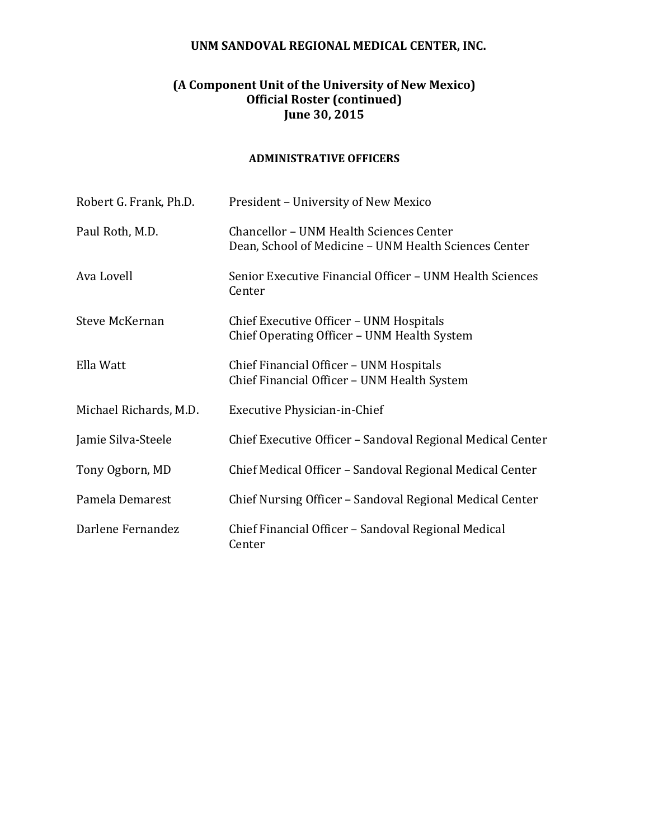### **UNM SANDOVAL REGIONAL MEDICAL CENTER, INC.**

# **(A Component Unit of the University of New Mexico) Official Roster (continued) June 30, 2015**

#### **ADMINISTRATIVE OFFICERS**

| Robert G. Frank, Ph.D. | President – University of New Mexico                                                             |
|------------------------|--------------------------------------------------------------------------------------------------|
| Paul Roth, M.D.        | Chancellor - UNM Health Sciences Center<br>Dean, School of Medicine - UNM Health Sciences Center |
| Ava Lovell             | Senior Executive Financial Officer – UNM Health Sciences<br>Center                               |
| Steve McKernan         | Chief Executive Officer - UNM Hospitals<br>Chief Operating Officer - UNM Health System           |
| Ella Watt              | Chief Financial Officer - UNM Hospitals<br>Chief Financial Officer - UNM Health System           |
| Michael Richards, M.D. | Executive Physician-in-Chief                                                                     |
| Jamie Silva-Steele     | Chief Executive Officer – Sandoval Regional Medical Center                                       |
| Tony Ogborn, MD        | Chief Medical Officer - Sandoval Regional Medical Center                                         |
| Pamela Demarest        | Chief Nursing Officer – Sandoval Regional Medical Center                                         |
| Darlene Fernandez      | Chief Financial Officer - Sandoval Regional Medical<br>Center                                    |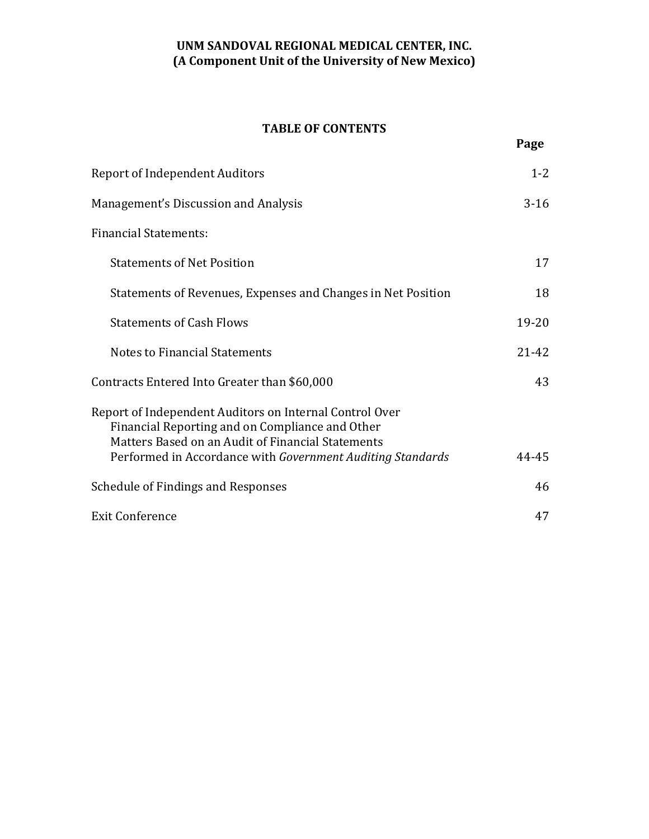### **UNM SANDOVAL REGIONAL MEDICAL CENTER, INC. (A Component Unit of the University of New Mexico)**

# **TABLE OF CONTENTS**

|                                                                                                                                                                 | Page      |
|-----------------------------------------------------------------------------------------------------------------------------------------------------------------|-----------|
| <b>Report of Independent Auditors</b>                                                                                                                           | $1 - 2$   |
| Management's Discussion and Analysis                                                                                                                            | $3 - 16$  |
| <b>Financial Statements:</b>                                                                                                                                    |           |
| <b>Statements of Net Position</b>                                                                                                                               | 17        |
| Statements of Revenues, Expenses and Changes in Net Position                                                                                                    | 18        |
| <b>Statements of Cash Flows</b>                                                                                                                                 | 19-20     |
| Notes to Financial Statements                                                                                                                                   | $21 - 42$ |
| Contracts Entered Into Greater than \$60,000                                                                                                                    | 43        |
| Report of Independent Auditors on Internal Control Over<br>Financial Reporting and on Compliance and Other<br>Matters Based on an Audit of Financial Statements |           |
| Performed in Accordance with Government Auditing Standards                                                                                                      | 44-45     |
| Schedule of Findings and Responses                                                                                                                              | 46        |
| <b>Exit Conference</b>                                                                                                                                          | 47        |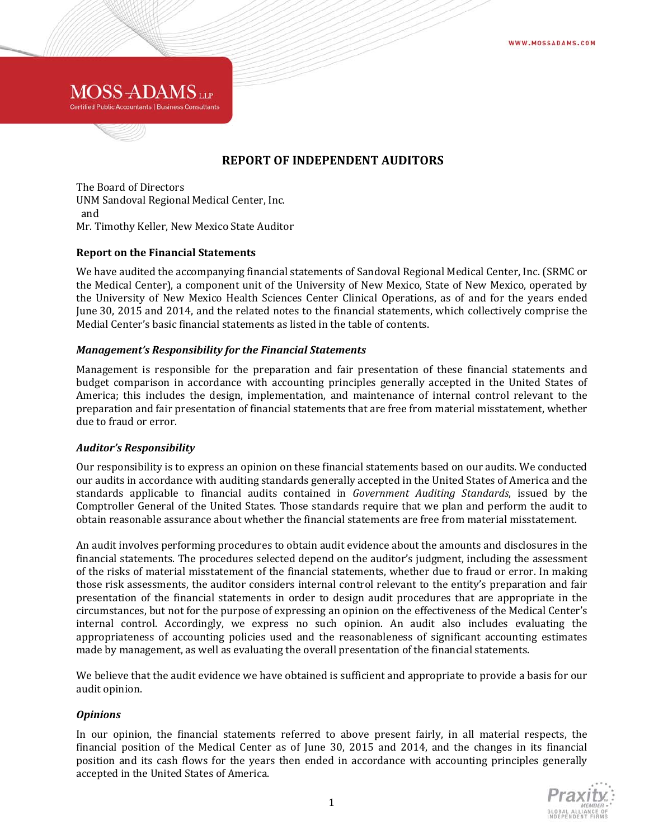

### **REPORT OF INDEPENDENT AUDITORS**

The Board of Directors UNM Sandoval Regional Medical Center, Inc. and Mr. Timothy Keller, New Mexico State Auditor

#### **Report on the Financial Statements**

We have audited the accompanying financial statements of Sandoval Regional Medical Center, Inc. (SRMC or the Medical Center), a component unit of the University of New Mexico, State of New Mexico, operated by the University of New Mexico Health Sciences Center Clinical Operations, as of and for the years ended June 30, 2015 and 2014, and the related notes to the financial statements, which collectively comprise the Medial Center's basic financial statements as listed in the table of contents.

#### *Management's Responsibility for the Financial Statements*

Management is responsible for the preparation and fair presentation of these financial statements and budget comparison in accordance with accounting principles generally accepted in the United States of America; this includes the design, implementation, and maintenance of internal control relevant to the preparation and fair presentation of financial statements that are free from material misstatement, whether due to fraud or error.

#### *Auditor's Responsibility*

Our responsibility is to express an opinion on these financial statements based on our audits. We conducted our audits in accordance with auditing standards generally accepted in the United States of America and the standards applicable to financial audits contained in *Government Auditing Standards*, issued by the Comptroller General of the United States. Those standards require that we plan and perform the audit to obtain reasonable assurance about whether the financial statements are free from material misstatement.

An audit involves performing procedures to obtain audit evidence about the amounts and disclosures in the financial statements. The procedures selected depend on the auditor's judgment, including the assessment of the risks of material misstatement of the financial statements, whether due to fraud or error. In making those risk assessments, the auditor considers internal control relevant to the entity's preparation and fair presentation of the financial statements in order to design audit procedures that are appropriate in the circumstances, but not for the purpose of expressing an opinion on the effectiveness of the Medical Center's internal control. Accordingly, we express no such opinion. An audit also includes evaluating the appropriateness of accounting policies used and the reasonableness of significant accounting estimates made by management, as well as evaluating the overall presentation of the financial statements.

We believe that the audit evidence we have obtained is sufficient and appropriate to provide a basis for our audit opinion.

#### *Opinions*

In our opinion, the financial statements referred to above present fairly, in all material respects, the financial position of the Medical Center as of June 30, 2015 and  $2014$ , and the changes in its financial position and its cash flows for the years then ended in accordance with accounting principles generally accepted in the United States of America.

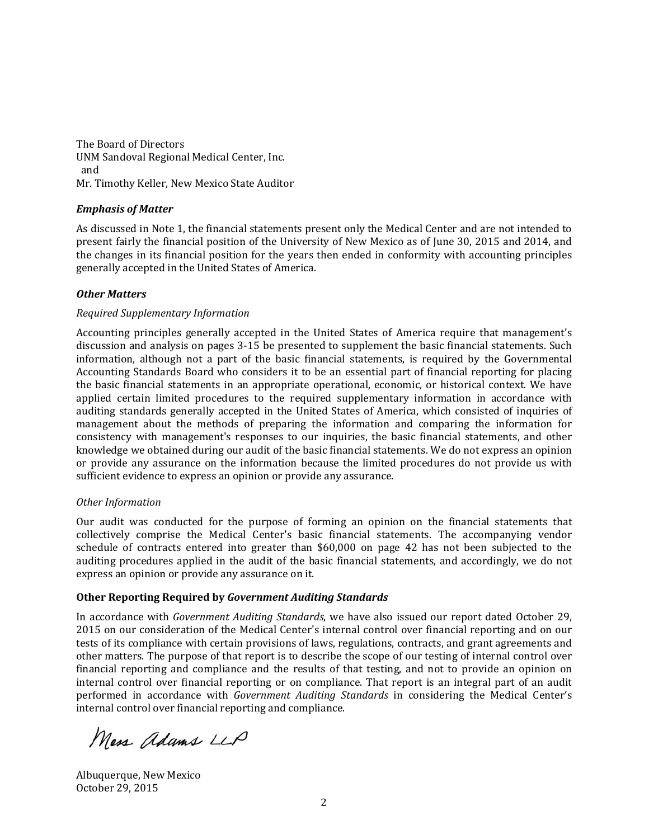The Board of Directors UNM Sandoval Regional Medical Center, Inc. and Mr. Timothy Keller, New Mexico State Auditor

#### *Emphasis of Matter*

As discussed in Note 1, the financial statements present only the Medical Center and are not intended to present fairly the financial position of the University of New Mexico as of June 30, 2015 and 2014, and the changes in its financial position for the years then ended in conformity with accounting principles generally accepted in the United States of America.

#### *Other Matters*

#### *Required Supplementary Information*

Accounting principles generally accepted in the United States of America require that management's discussion and analysis on pages 3-15 be presented to supplement the basic financial statements. Such information, although not a part of the basic financial statements, is required by the Governmental Accounting Standards Board who considers it to be an essential part of financial reporting for placing the basic financial statements in an appropriate operational, economic, or historical context. We have applied certain limited procedures to the required supplementary information in accordance with auditing standards generally accepted in the United States of America, which consisted of inquiries of management about the methods of preparing the information and comparing the information for consistency with management's responses to our inquiries, the basic financial statements, and other knowledge we obtained during our audit of the basic financial statements. We do not express an opinion or provide any assurance on the information because the limited procedures do not provide us with sufficient evidence to express an opinion or provide any assurance.

#### *Other Information*

Our audit was conducted for the purpose of forming an opinion on the financial statements that collectively comprise the Medical Center's basic financial statements. The accompanying vendor schedule of contracts entered into greater than  $$60,000$  on page 42 has not been subjected to the auditing procedures applied in the audit of the basic financial statements, and accordingly, we do not express an opinion or provide any assurance on it.

#### **Other Reporting Required by** *Government Auditing Standards*

In accordance with *Government Auditing Standards*, we have also issued our report dated October 29, 2015 on our consideration of the Medical Center's internal control over financial reporting and on our tests of its compliance with certain provisions of laws, regulations, contracts, and grant agreements and other matters. The purpose of that report is to describe the scope of our testing of internal control over financial reporting and compliance and the results of that testing, and not to provide an opinion on internal control over financial reporting or on compliance. That report is an integral part of an audit performed in accordance with *Government Auditing Standards* in considering the Medical Center's internal control over financial reporting and compliance.

Mess adams LLP

Albuquerque, New Mexico October 29, 2015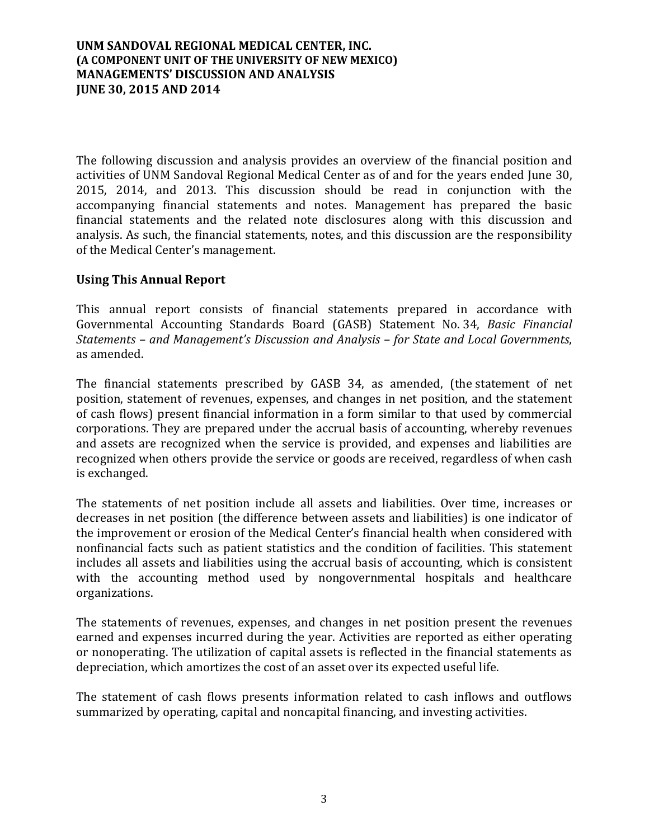The following discussion and analysis provides an overview of the financial position and activities of UNM Sandoval Regional Medical Center as of and for the years ended June 30, 2015, 2014, and 2013. This discussion should be read in conjunction with the accompanying financial statements and notes. Management has prepared the basic financial statements and the related note disclosures along with this discussion and analysis. As such, the financial statements, notes, and this discussion are the responsibility of the Medical Center's management.

### **Using This Annual Report**

This annual report consists of financial statements prepared in accordance with Governmental Accounting Standards Board (GASB) Statement No. 34, *Basic Financial Statements – and Management's Discussion and Analysis – for State and Local Governments*, as amended.

The financial statements prescribed by GASB 34, as amended, (the statement of net position, statement of revenues, expenses, and changes in net position, and the statement of cash flows) present financial information in a form similar to that used by commercial corporations. They are prepared under the accrual basis of accounting, whereby revenues and assets are recognized when the service is provided, and expenses and liabilities are recognized when others provide the service or goods are received, regardless of when cash is exchanged.

The statements of net position include all assets and liabilities. Over time, increases or decreases in net position (the difference between assets and liabilities) is one indicator of the improvement or erosion of the Medical Center's financial health when considered with nonfinancial facts such as patient statistics and the condition of facilities. This statement includes all assets and liabilities using the accrual basis of accounting, which is consistent with the accounting method used by nongovernmental hospitals and healthcare organizations. 

The statements of revenues, expenses, and changes in net position present the revenues earned and expenses incurred during the year. Activities are reported as either operating or nonoperating. The utilization of capital assets is reflected in the financial statements as depreciation, which amortizes the cost of an asset over its expected useful life.

The statement of cash flows presents information related to cash inflows and outflows summarized by operating, capital and noncapital financing, and investing activities.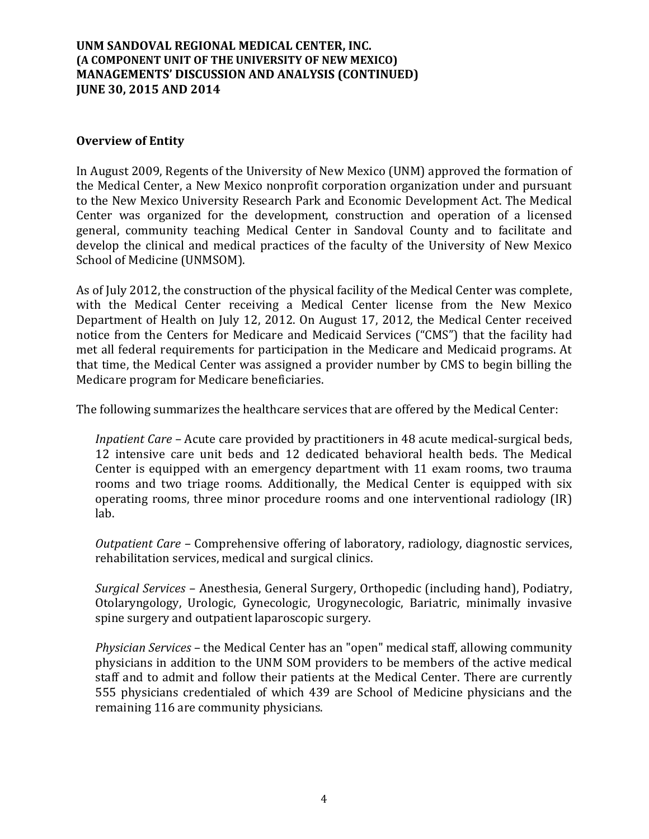### **Overview of Entity**

In August 2009, Regents of the University of New Mexico (UNM) approved the formation of the Medical Center, a New Mexico nonprofit corporation organization under and pursuant to the New Mexico University Research Park and Economic Development Act. The Medical Center was organized for the development, construction and operation of a licensed general, community teaching Medical Center in Sandoval County and to facilitate and develop the clinical and medical practices of the faculty of the University of New Mexico School of Medicine (UNMSOM).

As of July 2012, the construction of the physical facility of the Medical Center was complete. with the Medical Center receiving a Medical Center license from the New Mexico Department of Health on July 12, 2012. On August 17, 2012, the Medical Center received notice from the Centers for Medicare and Medicaid Services ("CMS") that the facility had met all federal requirements for participation in the Medicare and Medicaid programs. At that time, the Medical Center was assigned a provider number by CMS to begin billing the Medicare program for Medicare beneficiaries.

The following summarizes the healthcare services that are offered by the Medical Center:

*Inpatient Care* – Acute care provided by practitioners in 48 acute medical-surgical beds, 12 intensive care unit beds and 12 dedicated behavioral health beds. The Medical Center is equipped with an emergency department with  $11$  exam rooms, two trauma rooms and two triage rooms. Additionally, the Medical Center is equipped with six operating rooms, three minor procedure rooms and one interventional radiology (IR) lab. 

*Outpatient Care* – Comprehensive offering of laboratory, radiology, diagnostic services, rehabilitation services, medical and surgical clinics.

*Surgical Services* - Anesthesia, General Surgery, Orthopedic (including hand), Podiatry, Otolaryngology, Urologic, Gynecologic, Urogynecologic, Bariatric, minimally invasive spine surgery and outpatient laparoscopic surgery.

*Physician Services* – the Medical Center has an "open" medical staff, allowing community physicians in addition to the UNM SOM providers to be members of the active medical staff and to admit and follow their patients at the Medical Center. There are currently 555 physicians credentialed of which 439 are School of Medicine physicians and the remaining 116 are community physicians.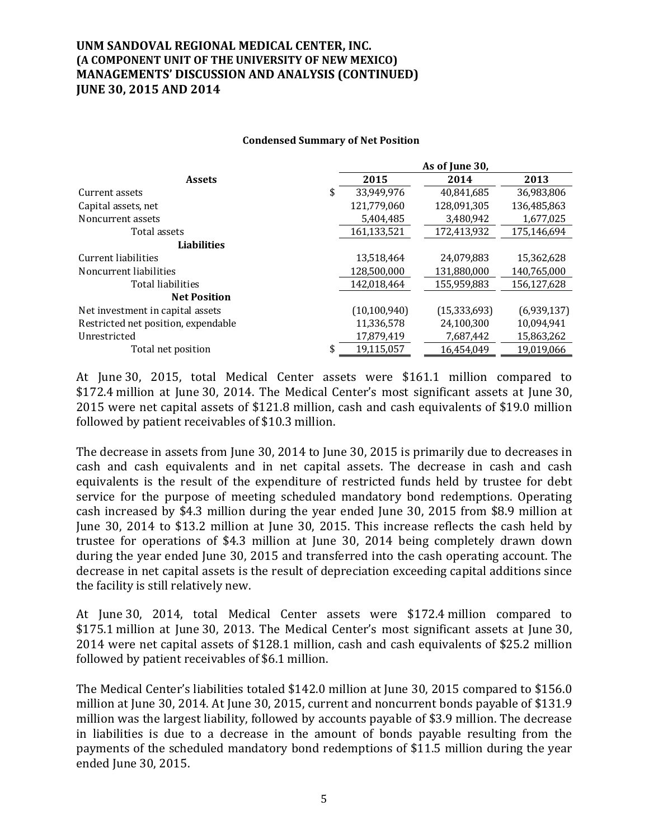#### **Condensed Summary of Net Position**

|                                     |                  | As of June 30, |             |
|-------------------------------------|------------------|----------------|-------------|
| <b>Assets</b>                       | 2015             | 2014           | 2013        |
| Current assets                      | \$<br>33,949,976 | 40,841,685     | 36,983,806  |
| Capital assets, net                 | 121,779,060      | 128,091,305    | 136,485,863 |
| Noncurrent assets                   | 5,404,485        | 3,480,942      | 1,677,025   |
| Total assets                        | 161,133,521      | 172,413,932    | 175,146,694 |
| <b>Liabilities</b>                  |                  |                |             |
| Current liabilities                 | 13,518,464       | 24,079,883     | 15,362,628  |
| Noncurrent liabilities              | 128,500,000      | 131,880,000    | 140,765,000 |
| Total liabilities                   | 142,018,464      | 155,959,883    | 156,127,628 |
| <b>Net Position</b>                 |                  |                |             |
| Net investment in capital assets    | (10, 100, 940)   | (15, 333, 693) | (6,939,137) |
| Restricted net position, expendable | 11,336,578       | 24,100,300     | 10,094,941  |
| Unrestricted                        | 17,879,419       | 7,687,442      | 15,863,262  |
| Total net position                  | \$<br>19,115,057 | 16,454,049     | 19,019,066  |

At June 30, 2015, total Medical Center assets were \$161.1 million compared to \$172.4 million at June 30, 2014. The Medical Center's most significant assets at June 30, 2015 were net capital assets of \$121.8 million, cash and cash equivalents of \$19.0 million followed by patient receivables of \$10.3 million.

The decrease in assets from June 30, 2014 to June 30, 2015 is primarily due to decreases in cash and cash equivalents and in net capital assets. The decrease in cash and cash equivalents is the result of the expenditure of restricted funds held by trustee for debt service for the purpose of meeting scheduled mandatory bond redemptions. Operating cash increased by \$4.3 million during the year ended June 30, 2015 from \$8.9 million at June 30, 2014 to \$13.2 million at June 30, 2015. This increase reflects the cash held by trustee for operations of \$4.3 million at June 30, 2014 being completely drawn down during the year ended June 30, 2015 and transferred into the cash operating account. The decrease in net capital assets is the result of depreciation exceeding capital additions since the facility is still relatively new.

At June 30, 2014, total Medical Center assets were \$172.4 million compared to \$175.1 million at June 30, 2013. The Medical Center's most significant assets at June 30, 2014 were net capital assets of \$128.1 million, cash and cash equivalents of \$25.2 million followed by patient receivables of \$6.1 million.

The Medical Center's liabilities totaled \$142.0 million at June 30, 2015 compared to \$156.0 million at June 30, 2014. At June 30, 2015, current and noncurrent bonds payable of \$131.9 million was the largest liability, followed by accounts payable of \$3.9 million. The decrease in liabilities is due to a decrease in the amount of bonds payable resulting from the payments of the scheduled mandatory bond redemptions of \$11.5 million during the year ended June 30, 2015.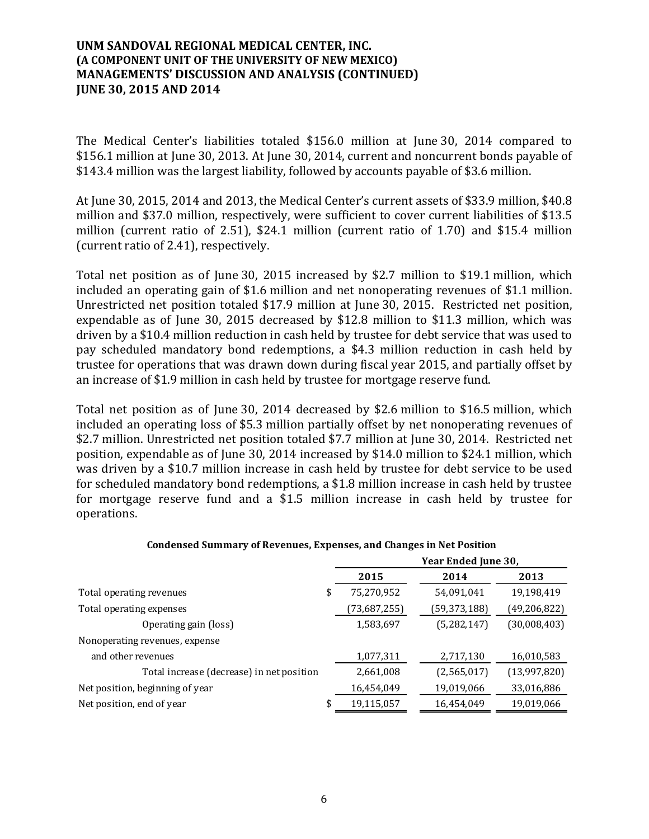The Medical Center's liabilities totaled \$156.0 million at June 30, 2014 compared to \$156.1 million at June 30, 2013. At June 30, 2014, current and noncurrent bonds payable of \$143.4 million was the largest liability, followed by accounts payable of \$3.6 million.

At June 30, 2015, 2014 and 2013, the Medical Center's current assets of \$33.9 million, \$40.8 million and \$37.0 million, respectively, were sufficient to cover current liabilities of \$13.5 million (current ratio of 2.51),  $$24.1$  million (current ratio of 1.70) and  $$15.4$  million (current ratio of 2.41), respectively.

Total net position as of June 30, 2015 increased by \$2.7 million to \$19.1 million, which included an operating gain of \$1.6 million and net nonoperating revenues of \$1.1 million. Unrestricted net position totaled \$17.9 million at June 30, 2015. Restricted net position, expendable as of June 30, 2015 decreased by \$12.8 million to \$11.3 million, which was driven by a \$10.4 million reduction in cash held by trustee for debt service that was used to pay scheduled mandatory bond redemptions, a \$4.3 million reduction in cash held by trustee for operations that was drawn down during fiscal year 2015, and partially offset by an increase of \$1.9 million in cash held by trustee for mortgage reserve fund.

Total net position as of June 30, 2014 decreased by \$2.6 million to \$16.5 million, which included an operating loss of \$5.3 million partially offset by net nonoperating revenues of \$2.7 million. Unrestricted net position totaled \$7.7 million at June 30, 2014. Restricted net position, expendable as of June 30, 2014 increased by \$14.0 million to \$24.1 million, which was driven by a \$10.7 million increase in cash held by trustee for debt service to be used for scheduled mandatory bond redemptions, a \$1.8 million increase in cash held by trustee for mortgage reserve fund and a \$1.5 million increase in cash held by trustee for operations. 

|                                           | Year Ended June 30, |                |              |
|-------------------------------------------|---------------------|----------------|--------------|
|                                           | 2015                | 2014           | 2013         |
| Total operating revenues                  | \$<br>75,270,952    | 54,091,041     | 19,198,419   |
| Total operating expenses                  | (73,687,255)        | (59, 373, 188) | (49,206,822) |
| Operating gain (loss)                     | 1,583,697           | (5,282,147)    | (30,008,403) |
| Nonoperating revenues, expense            |                     |                |              |
| and other revenues                        | 1,077,311           | 2,717,130      | 16,010,583   |
| Total increase (decrease) in net position | 2,661,008           | (2,565,017)    | (13,997,820) |
| Net position, beginning of year           | 16,454,049          | 19,019,066     | 33,016,886   |
| Net position, end of year                 | \$<br>19,115,057    | 16,454,049     | 19,019,066   |

#### **Condensed Summary of Revenues, Expenses, and Changes in Net Position**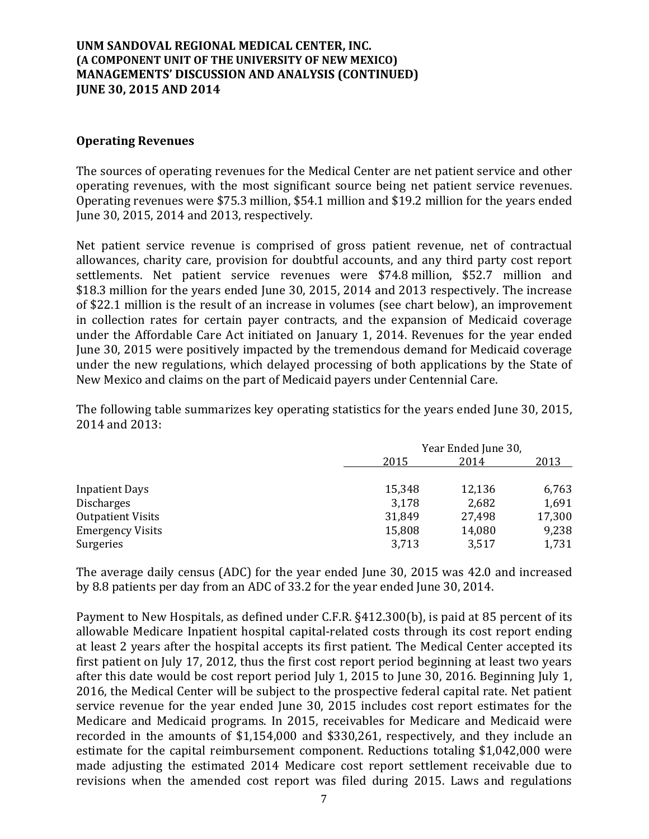#### **Operating Revenues**

The sources of operating revenues for the Medical Center are net patient service and other operating revenues, with the most significant source being net patient service revenues. Operating revenues were \$75.3 million, \$54.1 million and \$19.2 million for the years ended June 30, 2015, 2014 and 2013, respectively.

Net patient service revenue is comprised of gross patient revenue, net of contractual allowances, charity care, provision for doubtful accounts, and any third party cost report settlements. Net patient service revenues were \$74.8 million, \$52.7 million and \$18.3 million for the years ended June 30, 2015, 2014 and 2013 respectively. The increase of \$22.1 million is the result of an increase in volumes (see chart below), an improvement in collection rates for certain payer contracts, and the expansion of Medicaid coverage under the Affordable Care Act initiated on January 1, 2014. Revenues for the vear ended June 30, 2015 were positively impacted by the tremendous demand for Medicaid coverage under the new regulations, which delayed processing of both applications by the State of New Mexico and claims on the part of Medicaid payers under Centennial Care.

The following table summarizes key operating statistics for the years ended June 30, 2015, 2014 and 2013:

|                          | Year Ended June 30, |        |               |  |
|--------------------------|---------------------|--------|---------------|--|
|                          | 2014<br>2015        |        | <u> 2013 </u> |  |
|                          |                     |        |               |  |
| <b>Inpatient Days</b>    | 15,348              | 12,136 | 6,763         |  |
| <b>Discharges</b>        | 3,178               | 2,682  | 1,691         |  |
| <b>Outpatient Visits</b> | 31,849              | 27,498 | 17,300        |  |
| <b>Emergency Visits</b>  | 15,808              | 14,080 | 9,238         |  |
| Surgeries                | 3,713               | 3,517  | 1,731         |  |

The average daily census (ADC) for the year ended June 30, 2015 was 42.0 and increased by 8.8 patients per day from an ADC of 33.2 for the year ended June 30, 2014.

Payment to New Hospitals, as defined under C.F.R. §412.300(b), is paid at 85 percent of its allowable Medicare Inpatient hospital capital-related costs through its cost report ending at least 2 years after the hospital accepts its first patient. The Medical Center accepted its first patient on July 17, 2012, thus the first cost report period beginning at least two years after this date would be cost report period July 1, 2015 to June 30, 2016. Beginning July 1, 2016, the Medical Center will be subject to the prospective federal capital rate. Net patient service revenue for the year ended June 30, 2015 includes cost report estimates for the Medicare and Medicaid programs. In 2015, receivables for Medicare and Medicaid were recorded in the amounts of \$1,154,000 and \$330,261, respectively, and they include an estimate for the capital reimbursement component. Reductions totaling \$1,042,000 were made adjusting the estimated 2014 Medicare cost report settlement receivable due to revisions when the amended cost report was filed during 2015. Laws and regulations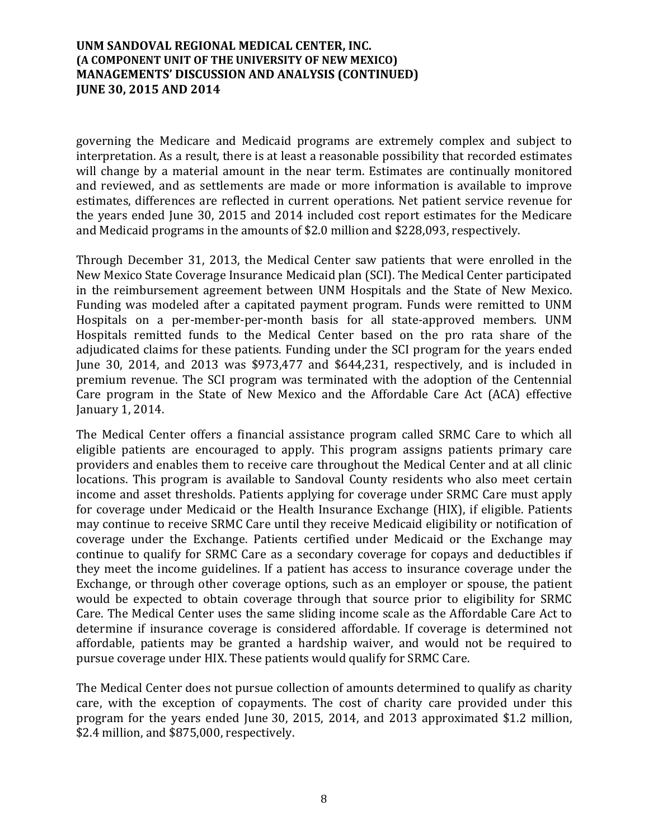governing the Medicare and Medicaid programs are extremely complex and subject to interpretation. As a result, there is at least a reasonable possibility that recorded estimates will change by a material amount in the near term. Estimates are continually monitored and reviewed, and as settlements are made or more information is available to improve estimates, differences are reflected in current operations. Net patient service revenue for the years ended June 30, 2015 and 2014 included cost report estimates for the Medicare and Medicaid programs in the amounts of \$2.0 million and \$228,093, respectively.

Through December 31, 2013, the Medical Center saw patients that were enrolled in the New Mexico State Coverage Insurance Medicaid plan (SCI). The Medical Center participated in the reimbursement agreement between UNM Hospitals and the State of New Mexico. Funding was modeled after a capitated payment program. Funds were remitted to UNM Hospitals on a per-member-per-month basis for all state-approved members. UNM Hospitals remitted funds to the Medical Center based on the pro rata share of the adjudicated claims for these patients. Funding under the SCI program for the years ended June 30, 2014, and 2013 was \$973,477 and \$644,231, respectively, and is included in premium revenue. The SCI program was terminated with the adoption of the Centennial Care program in the State of New Mexico and the Affordable Care Act (ACA) effective January 1, 2014.

The Medical Center offers a financial assistance program called SRMC Care to which all eligible patients are encouraged to apply. This program assigns patients primary care providers and enables them to receive care throughout the Medical Center and at all clinic locations. This program is available to Sandoval County residents who also meet certain income and asset thresholds. Patients applying for coverage under SRMC Care must apply for coverage under Medicaid or the Health Insurance Exchange (HIX), if eligible. Patients may continue to receive SRMC Care until they receive Medicaid eligibility or notification of coverage under the Exchange. Patients certified under Medicaid or the Exchange may continue to qualify for SRMC Care as a secondary coverage for copays and deductibles if they meet the income guidelines. If a patient has access to insurance coverage under the Exchange, or through other coverage options, such as an employer or spouse, the patient would be expected to obtain coverage through that source prior to eligibility for SRMC Care. The Medical Center uses the same sliding income scale as the Affordable Care Act to determine if insurance coverage is considered affordable. If coverage is determined not affordable, patients may be granted a hardship waiver, and would not be required to pursue coverage under HIX. These patients would qualify for SRMC Care.

The Medical Center does not pursue collection of amounts determined to qualify as charity care, with the exception of copayments. The cost of charity care provided under this program for the years ended June 30, 2015, 2014, and 2013 approximated \$1.2 million, \$2.4 million, and \$875,000, respectively.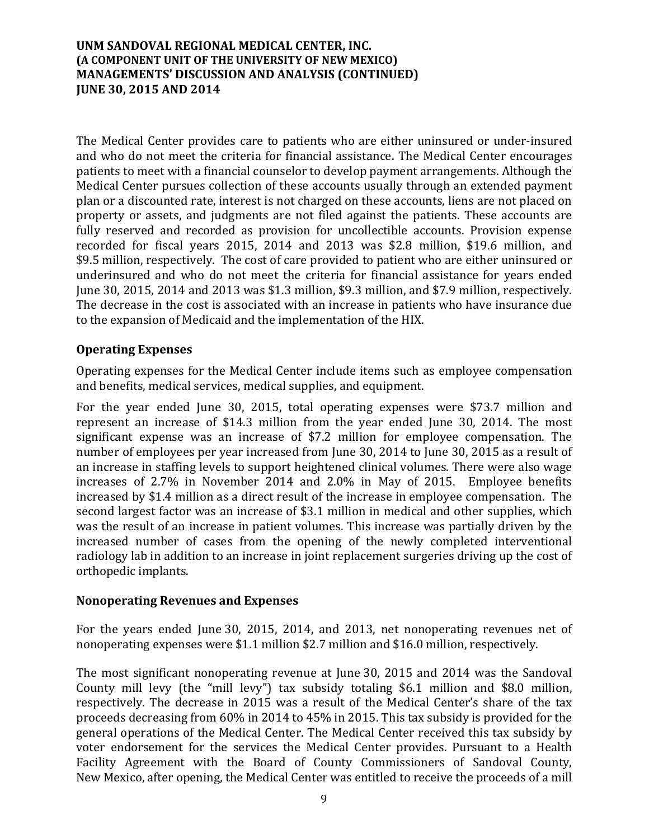The Medical Center provides care to patients who are either uninsured or under-insured and who do not meet the criteria for financial assistance. The Medical Center encourages patients to meet with a financial counselor to develop payment arrangements. Although the Medical Center pursues collection of these accounts usually through an extended payment plan or a discounted rate, interest is not charged on these accounts, liens are not placed on property or assets, and judgments are not filed against the patients. These accounts are fully reserved and recorded as provision for uncollectible accounts. Provision expense recorded for fiscal years 2015, 2014 and 2013 was \$2.8 million, \$19.6 million, and \$9.5 million, respectively. The cost of care provided to patient who are either uninsured or underinsured and who do not meet the criteria for financial assistance for years ended June 30, 2015, 2014 and 2013 was \$1.3 million, \$9.3 million, and \$7.9 million, respectively. The decrease in the cost is associated with an increase in patients who have insurance due to the expansion of Medicaid and the implementation of the HIX.

## **Operating Expenses**

Operating expenses for the Medical Center include items such as employee compensation and benefits, medical services, medical supplies, and equipment.

For the year ended June 30, 2015, total operating expenses were \$73.7 million and represent an increase of \$14.3 million from the year ended June 30, 2014. The most significant expense was an increase of \$7.2 million for employee compensation. The number of employees per year increased from June 30, 2014 to June 30, 2015 as a result of an increase in staffing levels to support heightened clinical volumes. There were also wage increases of  $2.7\%$  in November 2014 and  $2.0\%$  in May of 2015. Employee benefits increased by \$1.4 million as a direct result of the increase in employee compensation. The second largest factor was an increase of \$3.1 million in medical and other supplies, which was the result of an increase in patient volumes. This increase was partially driven by the increased number of cases from the opening of the newly completed interventional radiology lab in addition to an increase in joint replacement surgeries driving up the cost of orthopedic implants.

### **Nonoperating Revenues and Expenses**

For the years ended June 30, 2015, 2014, and 2013, net nonoperating revenues net of nonoperating expenses were \$1.1 million \$2.7 million and \$16.0 million, respectively.

The most significant nonoperating revenue at June 30, 2015 and 2014 was the Sandoval County mill levy (the "mill levy") tax subsidy totaling \$6.1 million and \$8.0 million, respectively. The decrease in 2015 was a result of the Medical Center's share of the tax proceeds decreasing from  $60\%$  in 2014 to 45% in 2015. This tax subsidy is provided for the general operations of the Medical Center. The Medical Center received this tax subsidy by voter endorsement for the services the Medical Center provides. Pursuant to a Health Facility Agreement with the Board of County Commissioners of Sandoval County, New Mexico, after opening, the Medical Center was entitled to receive the proceeds of a mill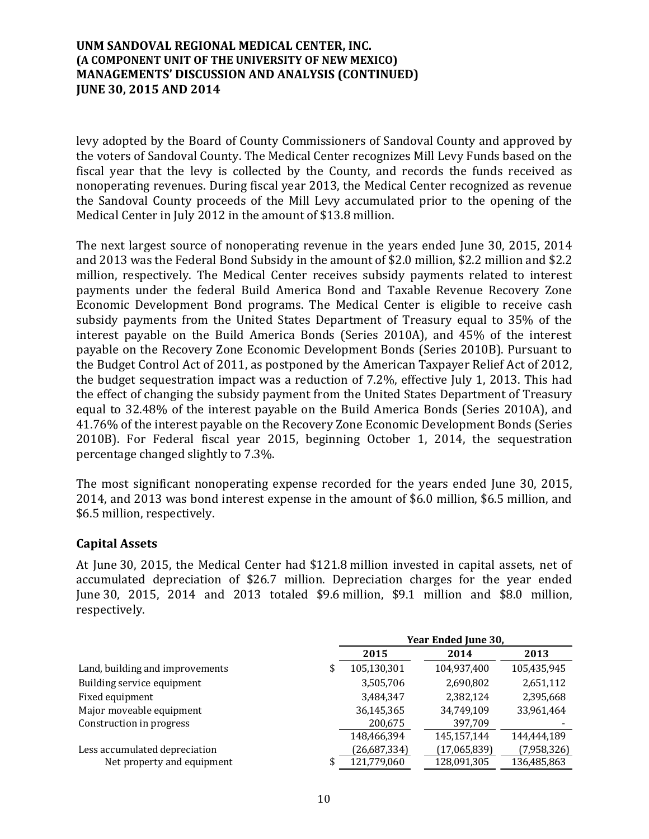levy adopted by the Board of County Commissioners of Sandoval County and approved by the voters of Sandoval County. The Medical Center recognizes Mill Levy Funds based on the fiscal year that the levy is collected by the County, and records the funds received as nonoperating revenues. During fiscal year 2013, the Medical Center recognized as revenue the Sandoval County proceeds of the Mill Levy accumulated prior to the opening of the Medical Center in July 2012 in the amount of \$13.8 million.

The next largest source of nonoperating revenue in the years ended June 30, 2015, 2014 and 2013 was the Federal Bond Subsidy in the amount of \$2.0 million, \$2.2 million and \$2.2 million, respectively. The Medical Center receives subsidy payments related to interest payments under the federal Build America Bond and Taxable Revenue Recovery Zone Economic Development Bond programs. The Medical Center is eligible to receive cash subsidy payments from the United States Department of Treasury equal to 35% of the interest payable on the Build America Bonds (Series 2010A), and 45% of the interest payable on the Recovery Zone Economic Development Bonds (Series 2010B). Pursuant to the Budget Control Act of 2011, as postponed by the American Taxpayer Relief Act of 2012, the budget sequestration impact was a reduction of  $7.2\%$ , effective July 1, 2013. This had the effect of changing the subsidy payment from the United States Department of Treasury equal to 32.48% of the interest payable on the Build America Bonds (Series 2010A), and 41.76% of the interest payable on the Recovery Zone Economic Development Bonds (Series 2010B). For Federal fiscal year 2015, beginning October 1, 2014, the sequestration percentage changed slightly to 7.3%.

The most significant nonoperating expense recorded for the years ended June 30, 2015, 2014, and 2013 was bond interest expense in the amount of \$6.0 million, \$6.5 million, and \$6.5 million, respectively.

### **Capital Assets**

At June 30, 2015, the Medical Center had \$121.8 million invested in capital assets, net of accumulated depreciation of \$26.7 million. Depreciation charges for the year ended June 30, 2015, 2014 and 2013 totaled \$9.6 million, \$9.1 million and \$8.0 million, respectively. 

|                                 | Year Ended June 30, |              |             |
|---------------------------------|---------------------|--------------|-------------|
|                                 | 2015                | 2014         | 2013        |
| Land, building and improvements | \$<br>105,130,301   | 104,937,400  | 105,435,945 |
| Building service equipment      | 3,505,706           | 2,690,802    | 2,651,112   |
| Fixed equipment                 | 3,484,347           | 2,382,124    | 2,395,668   |
| Major moveable equipment        | 36,145,365          | 34,749,109   | 33,961,464  |
| Construction in progress        | 200,675             | 397,709      |             |
|                                 | 148,466,394         | 145,157,144  | 144,444,189 |
| Less accumulated depreciation   | (26,687,334)        | (17,065,839) | (7,958,326) |
| Net property and equipment      | \$<br>121,779,060   | 128,091,305  | 136,485,863 |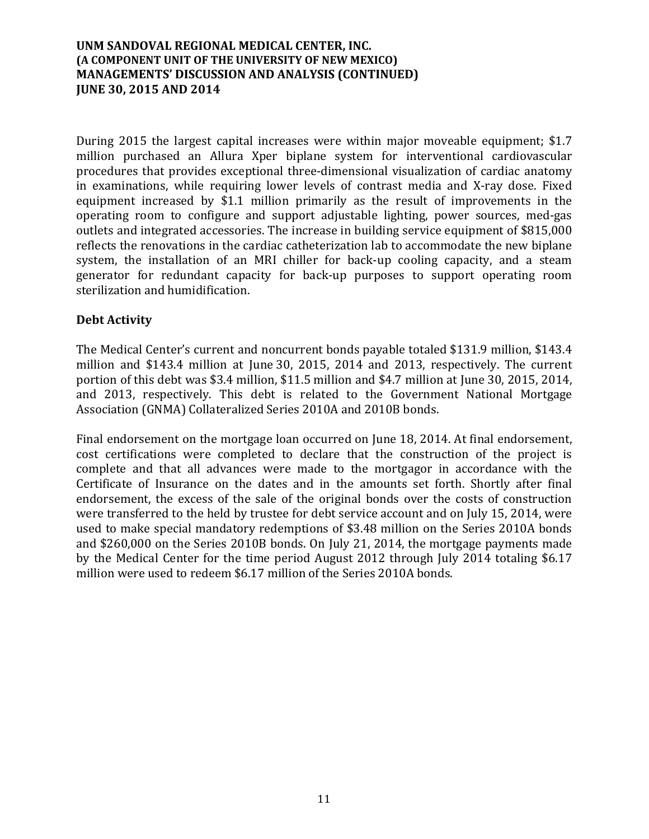During 2015 the largest capital increases were within major moveable equipment; \$1.7 million purchased an Allura Xper biplane system for interventional cardiovascular procedures that provides exceptional three-dimensional visualization of cardiac anatomy in examinations, while requiring lower levels of contrast media and X-ray dose. Fixed equipment increased by \$1.1 million primarily as the result of improvements in the operating room to configure and support adjustable lighting, power sources, med-gas outlets and integrated accessories. The increase in building service equipment of \$815,000 reflects the renovations in the cardiac catheterization lab to accommodate the new biplane system, the installation of an MRI chiller for back-up cooling capacity, and a steam generator for redundant capacity for back-up purposes to support operating room sterilization and humidification.

## **Debt Activity**

The Medical Center's current and noncurrent bonds payable totaled \$131.9 million, \$143.4 million and \$143.4 million at June 30, 2015, 2014 and 2013, respectively. The current portion of this debt was \$3.4 million, \$11.5 million and \$4.7 million at June 30, 2015, 2014, and 2013, respectively. This debt is related to the Government National Mortgage Association (GNMA) Collateralized Series 2010A and 2010B bonds.

Final endorsement on the mortgage loan occurred on June 18, 2014. At final endorsement, cost certifications were completed to declare that the construction of the project is complete and that all advances were made to the mortgagor in accordance with the Certificate of Insurance on the dates and in the amounts set forth. Shortly after final endorsement, the excess of the sale of the original bonds over the costs of construction were transferred to the held by trustee for debt service account and on July 15, 2014, were used to make special mandatory redemptions of \$3.48 million on the Series 2010A bonds and  $$260,000$  on the Series 2010B bonds. On July 21, 2014, the mortgage payments made by the Medical Center for the time period August 2012 through July 2014 totaling \$6.17 million were used to redeem \$6.17 million of the Series 2010A bonds.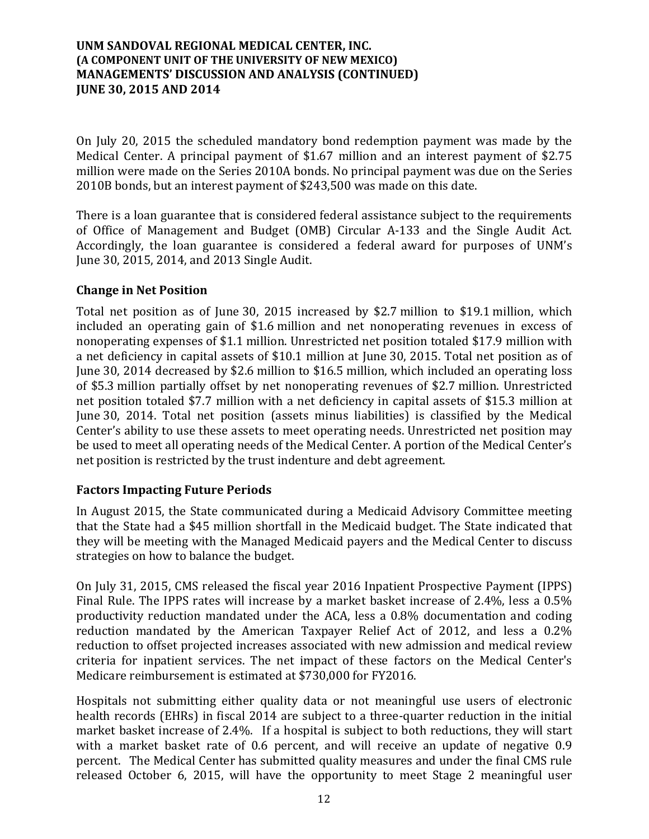On July 20, 2015 the scheduled mandatory bond redemption payment was made by the Medical Center. A principal payment of \$1.67 million and an interest payment of \$2.75 million were made on the Series 2010A bonds. No principal payment was due on the Series 2010B bonds, but an interest payment of \$243,500 was made on this date.

There is a loan guarantee that is considered federal assistance subject to the requirements of Office of Management and Budget (OMB) Circular A-133 and the Single Audit Act. Accordingly, the loan guarantee is considered a federal award for purposes of UNM's June 30, 2015, 2014, and 2013 Single Audit.

### **Change in Net Position**

Total net position as of June 30, 2015 increased by \$2.7 million to \$19.1 million, which included an operating gain of \$1.6 million and net nonoperating revenues in excess of nonoperating expenses of \$1.1 million. Unrestricted net position totaled \$17.9 million with a net deficiency in capital assets of \$10.1 million at June 30, 2015. Total net position as of June 30, 2014 decreased by \$2.6 million to \$16.5 million, which included an operating loss of \$5.3 million partially offset by net nonoperating revenues of \$2.7 million. Unrestricted net position totaled \$7.7 million with a net deficiency in capital assets of \$15.3 million at June 30, 2014. Total net position (assets minus liabilities) is classified by the Medical Center's ability to use these assets to meet operating needs. Unrestricted net position may be used to meet all operating needs of the Medical Center. A portion of the Medical Center's net position is restricted by the trust indenture and debt agreement.

### **Factors Impacting Future Periods**

In August 2015, the State communicated during a Medicaid Advisory Committee meeting that the State had a \$45 million shortfall in the Medicaid budget. The State indicated that they will be meeting with the Managed Medicaid payers and the Medical Center to discuss strategies on how to balance the budget.

On July 31, 2015, CMS released the fiscal year 2016 Inpatient Prospective Payment (IPPS) Final Rule. The IPPS rates will increase by a market basket increase of 2.4%, less a  $0.5\%$ productivity reduction mandated under the ACA, less a 0.8% documentation and coding reduction mandated by the American Taxpayer Relief Act of 2012, and less a  $0.2\%$ reduction to offset projected increases associated with new admission and medical review criteria for inpatient services. The net impact of these factors on the Medical Center's Medicare reimbursement is estimated at \$730,000 for FY2016.

Hospitals not submitting either quality data or not meaningful use users of electronic health records (EHRs) in fiscal 2014 are subject to a three-quarter reduction in the initial market basket increase of 2.4%. If a hospital is subject to both reductions, they will start with a market basket rate of 0.6 percent, and will receive an update of negative 0.9 percent. The Medical Center has submitted quality measures and under the final CMS rule released October 6, 2015, will have the opportunity to meet Stage 2 meaningful user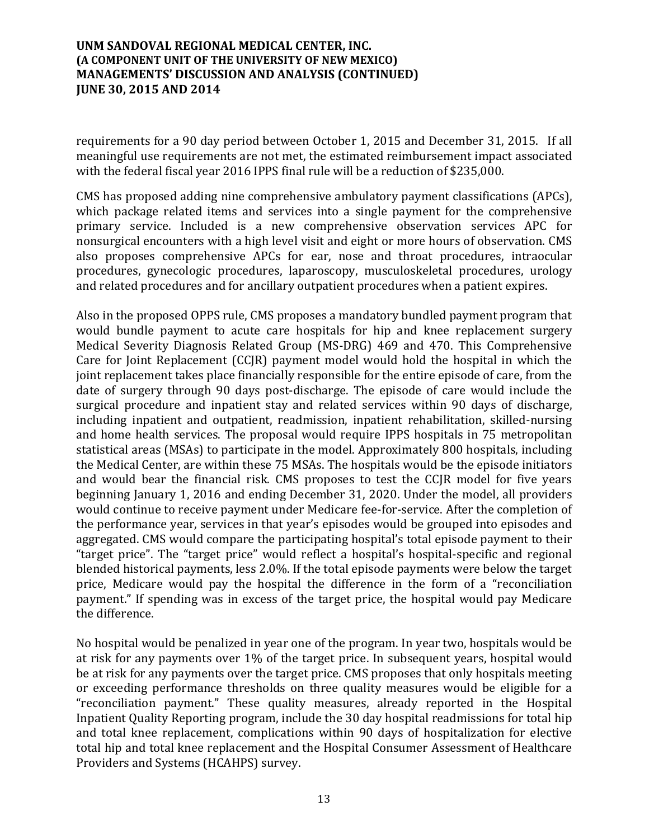requirements for a 90 day period between October 1, 2015 and December 31, 2015. If all meaningful use requirements are not met, the estimated reimbursement impact associated with the federal fiscal year 2016 IPPS final rule will be a reduction of \$235,000.

CMS has proposed adding nine comprehensive ambulatory payment classifications (APCs), which package related items and services into a single payment for the comprehensive primary service. Included is a new comprehensive observation services APC for nonsurgical encounters with a high level visit and eight or more hours of observation. CMS also proposes comprehensive APCs for ear, nose and throat procedures, intraocular procedures, gynecologic procedures, laparoscopy, musculoskeletal procedures, urology and related procedures and for ancillary outpatient procedures when a patient expires.

Also in the proposed OPPS rule, CMS proposes a mandatory bundled payment program that would bundle payment to acute care hospitals for hip and knee replacement surgery Medical Severity Diagnosis Related Group (MS-DRG) 469 and 470. This Comprehensive Care for Joint Replacement  $(CCIR)$  payment model would hold the hospital in which the joint replacement takes place financially responsible for the entire episode of care, from the date of surgery through 90 days post-discharge. The episode of care would include the surgical procedure and inpatient stay and related services within 90 days of discharge, including inpatient and outpatient, readmission, inpatient rehabilitation, skilled-nursing and home health services. The proposal would require IPPS hospitals in 75 metropolitan statistical areas (MSAs) to participate in the model. Approximately 800 hospitals, including the Medical Center, are within these 75 MSAs. The hospitals would be the episode initiators and would bear the financial risk. CMS proposes to test the CCJR model for five years beginning January 1, 2016 and ending December 31, 2020. Under the model, all providers would continue to receive payment under Medicare fee-for-service. After the completion of the performance year, services in that year's episodes would be grouped into episodes and aggregated. CMS would compare the participating hospital's total episode payment to their "target price". The "target price" would reflect a hospital's hospital-specific and regional blended historical payments, less 2.0%. If the total episode payments were below the target price, Medicare would pay the hospital the difference in the form of a "reconciliation payment." If spending was in excess of the target price, the hospital would pay Medicare the difference.

No hospital would be penalized in year one of the program. In year two, hospitals would be at risk for any payments over 1% of the target price. In subsequent years, hospital would be at risk for any payments over the target price. CMS proposes that only hospitals meeting or exceeding performance thresholds on three quality measures would be eligible for a "reconciliation payment." These quality measures, already reported in the Hospital Inpatient Quality Reporting program, include the 30 day hospital readmissions for total hip and total knee replacement, complications within 90 days of hospitalization for elective total hip and total knee replacement and the Hospital Consumer Assessment of Healthcare Providers and Systems (HCAHPS) survey.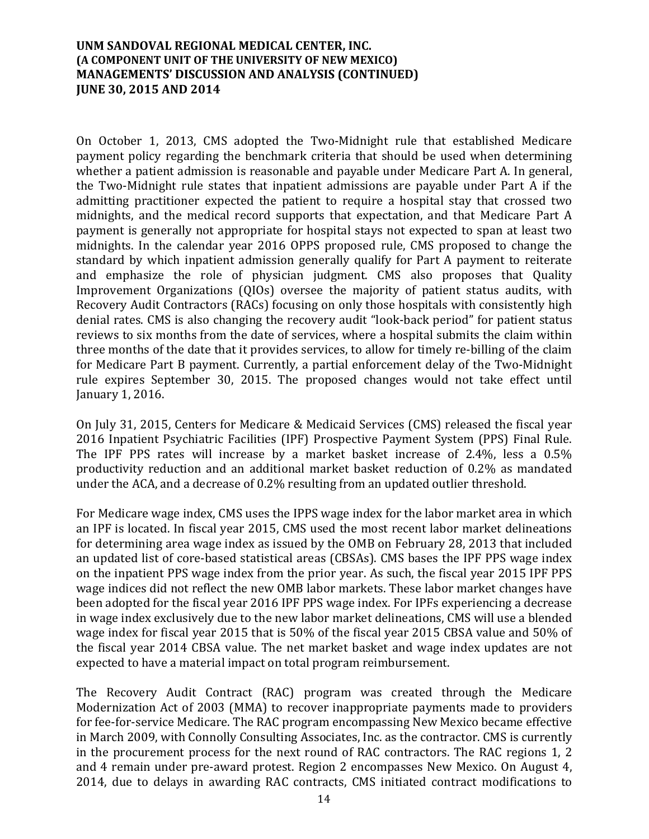On October 1, 2013, CMS adopted the Two-Midnight rule that established Medicare payment policy regarding the benchmark criteria that should be used when determining whether a patient admission is reasonable and payable under Medicare Part A. In general, the Two-Midnight rule states that inpatient admissions are payable under Part A if the admitting practitioner expected the patient to require a hospital stay that crossed two midnights, and the medical record supports that expectation, and that Medicare Part A payment is generally not appropriate for hospital stays not expected to span at least two midnights. In the calendar year 2016 OPPS proposed rule, CMS proposed to change the standard by which inpatient admission generally qualify for Part A payment to reiterate and emphasize the role of physician judgment. CMS also proposes that Quality Improvement Organizations (QIOs) oversee the majority of patient status audits, with Recovery Audit Contractors (RACs) focusing on only those hospitals with consistently high denial rates. CMS is also changing the recovery audit "look-back period" for patient status reviews to six months from the date of services, where a hospital submits the claim within three months of the date that it provides services, to allow for timely re-billing of the claim for Medicare Part B payment. Currently, a partial enforcement delay of the Two-Midnight rule expires September 30, 2015. The proposed changes would not take effect until January 1, 2016.

On July 31, 2015, Centers for Medicare & Medicaid Services (CMS) released the fiscal year 2016 Inpatient Psychiatric Facilities (IPF) Prospective Payment System (PPS) Final Rule. The IPF PPS rates will increase by a market basket increase of  $2.4\%$ , less a  $0.5\%$ productivity reduction and an additional market basket reduction of 0.2% as mandated under the ACA, and a decrease of 0.2% resulting from an updated outlier threshold.

For Medicare wage index, CMS uses the IPPS wage index for the labor market area in which an IPF is located. In fiscal year 2015, CMS used the most recent labor market delineations for determining area wage index as issued by the OMB on February 28, 2013 that included an updated list of core-based statistical areas (CBSAs). CMS bases the IPF PPS wage index on the inpatient PPS wage index from the prior year. As such, the fiscal year 2015 IPF PPS wage indices did not reflect the new OMB labor markets. These labor market changes have been adopted for the fiscal year 2016 IPF PPS wage index. For IPFs experiencing a decrease in wage index exclusively due to the new labor market delineations, CMS will use a blended wage index for fiscal year 2015 that is 50% of the fiscal year 2015 CBSA value and 50% of the fiscal year 2014 CBSA value. The net market basket and wage index updates are not expected to have a material impact on total program reimbursement.

The Recovery Audit Contract (RAC) program was created through the Medicare Modernization Act of 2003 (MMA) to recover inappropriate payments made to providers for fee-for-service Medicare. The RAC program encompassing New Mexico became effective in March 2009, with Connolly Consulting Associates, Inc. as the contractor. CMS is currently in the procurement process for the next round of RAC contractors. The RAC regions 1, 2 and 4 remain under pre-award protest. Region 2 encompasses New Mexico. On August 4, 2014, due to delays in awarding RAC contracts, CMS initiated contract modifications to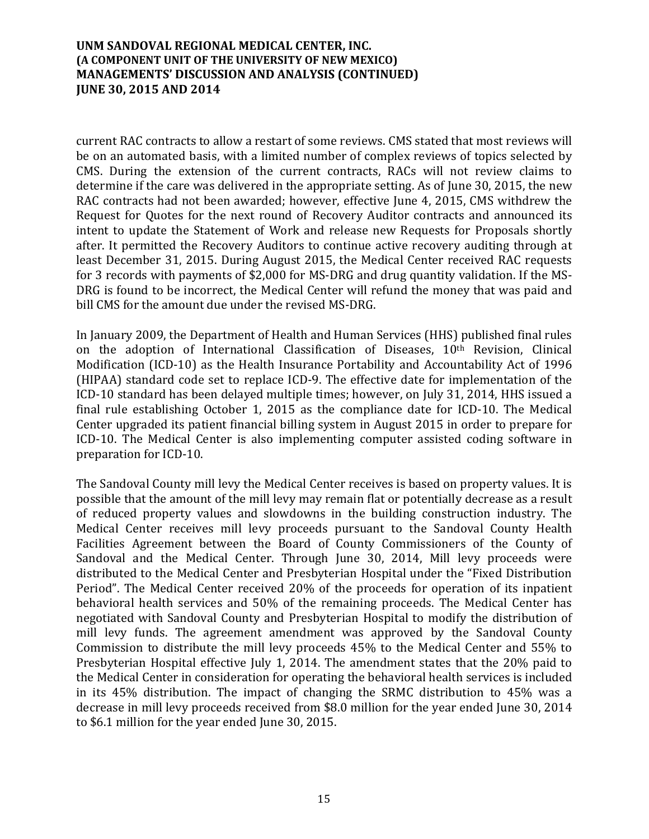current RAC contracts to allow a restart of some reviews. CMS stated that most reviews will be on an automated basis, with a limited number of complex reviews of topics selected by CMS. During the extension of the current contracts, RACs will not review claims to determine if the care was delivered in the appropriate setting. As of June 30, 2015, the new RAC contracts had not been awarded; however, effective June 4, 2015, CMS withdrew the Request for Quotes for the next round of Recovery Auditor contracts and announced its intent to update the Statement of Work and release new Requests for Proposals shortly after. It permitted the Recovery Auditors to continue active recovery auditing through at least December 31, 2015. During August 2015, the Medical Center received RAC requests for 3 records with payments of \$2,000 for MS-DRG and drug quantity validation. If the MS-DRG is found to be incorrect, the Medical Center will refund the money that was paid and bill CMS for the amount due under the revised MS-DRG.

In January 2009, the Department of Health and Human Services (HHS) published final rules on the adoption of International Classification of Diseases, 10<sup>th</sup> Revision, Clinical Modification (ICD-10) as the Health Insurance Portability and Accountability Act of 1996 (HIPAA) standard code set to replace ICD-9. The effective date for implementation of the ICD-10 standard has been delayed multiple times; however, on July 31, 2014, HHS issued a final rule establishing October 1, 2015 as the compliance date for ICD-10. The Medical Center upgraded its patient financial billing system in August 2015 in order to prepare for ICD-10. The Medical Center is also implementing computer assisted coding software in preparation for ICD-10.

The Sandoval County mill levy the Medical Center receives is based on property values. It is possible that the amount of the mill levy may remain flat or potentially decrease as a result of reduced property values and slowdowns in the building construction industry. The Medical Center receives mill levy proceeds pursuant to the Sandoval County Health Facilities Agreement between the Board of County Commissioners of the County of Sandoval and the Medical Center. Through June 30, 2014, Mill levy proceeds were distributed to the Medical Center and Presbyterian Hospital under the "Fixed Distribution Period". The Medical Center received 20% of the proceeds for operation of its inpatient behavioral health services and 50% of the remaining proceeds. The Medical Center has negotiated with Sandoval County and Presbyterian Hospital to modify the distribution of mill levy funds. The agreement amendment was approved by the Sandoval County Commission to distribute the mill levy proceeds 45% to the Medical Center and 55% to Presbyterian Hospital effective July 1, 2014. The amendment states that the 20% paid to the Medical Center in consideration for operating the behavioral health services is included in its  $45\%$  distribution. The impact of changing the SRMC distribution to  $45\%$  was a decrease in mill levy proceeds received from \$8.0 million for the year ended June 30, 2014 to \$6.1 million for the year ended June 30, 2015.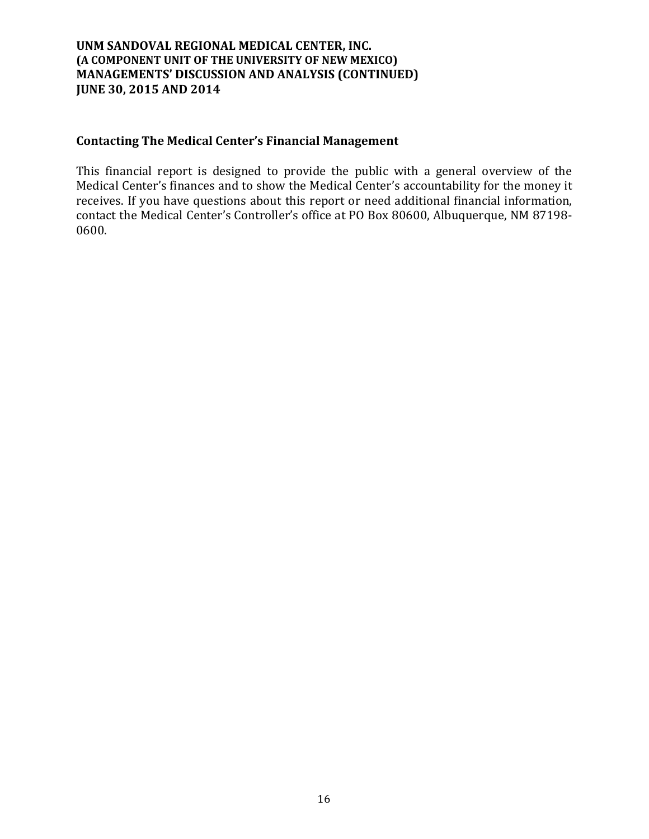## **Contacting The Medical Center's Financial Management**

This financial report is designed to provide the public with a general overview of the Medical Center's finances and to show the Medical Center's accountability for the money it receives. If you have questions about this report or need additional financial information, contact the Medical Center's Controller's office at PO Box 80600, Albuquerque, NM 87198-0600.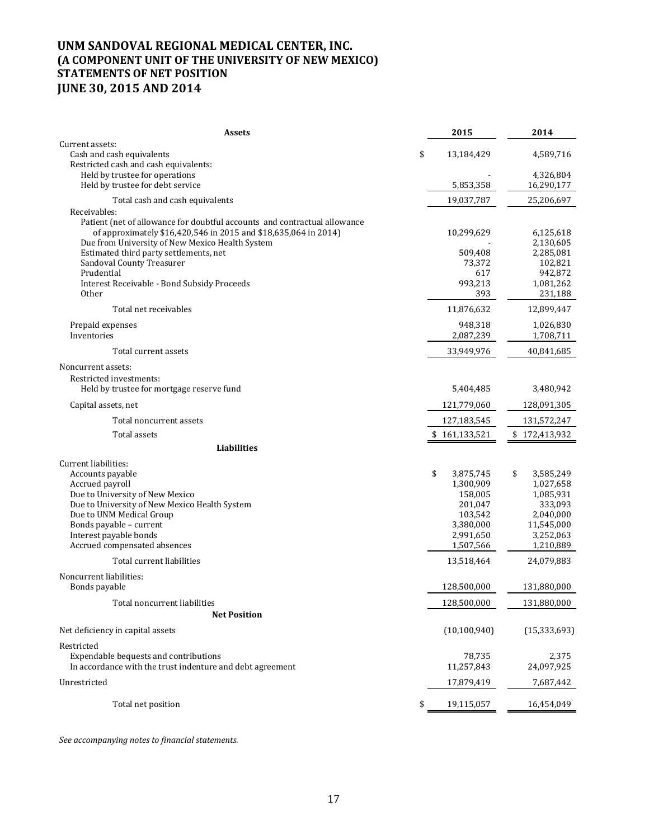### **UNM SANDOVAL REGIONAL MEDICAL CENTER, INC. (A COMPONENT UNIT OF THE UNIVERSITY OF NEW MEXICO) STATEMENTS OF NET POSITION JUNE 30, 2015 AND 2014**

| <b>Assets</b>                                                                                                                                                                                                                                                                                                                                                | 2015                                                                                                 | 2014                                                                                                      |
|--------------------------------------------------------------------------------------------------------------------------------------------------------------------------------------------------------------------------------------------------------------------------------------------------------------------------------------------------------------|------------------------------------------------------------------------------------------------------|-----------------------------------------------------------------------------------------------------------|
| Current assets:<br>Cash and cash equivalents<br>Restricted cash and cash equivalents:                                                                                                                                                                                                                                                                        | \$<br>13,184,429                                                                                     | 4,589,716                                                                                                 |
| Held by trustee for operations<br>Held by trustee for debt service                                                                                                                                                                                                                                                                                           | 5,853,358                                                                                            | 4,326,804<br>16,290,177                                                                                   |
| Total cash and cash equivalents                                                                                                                                                                                                                                                                                                                              | 19,037,787                                                                                           | 25,206,697                                                                                                |
| Receivables:<br>Patient (net of allowance for doubtful accounts and contractual allowance<br>of approximately \$16,420,546 in 2015 and \$18,635,064 in 2014)<br>Due from University of New Mexico Health System<br>Estimated third party settlements, net<br>Sandoval County Treasurer<br>Prudential<br>Interest Receivable - Bond Subsidy Proceeds<br>Other | 10,299,629<br>509,408<br>73,372<br>617<br>993,213<br>393                                             | 6,125,618<br>2,130,605<br>2,285,081<br>102,821<br>942,872<br>1,081,262<br>231,188                         |
| Total net receivables                                                                                                                                                                                                                                                                                                                                        | 11,876,632                                                                                           | 12,899,447                                                                                                |
| Prepaid expenses<br>Inventories                                                                                                                                                                                                                                                                                                                              | 948,318<br>2,087,239                                                                                 | 1,026,830<br>1,708,711                                                                                    |
| Total current assets                                                                                                                                                                                                                                                                                                                                         | 33,949,976                                                                                           | 40,841,685                                                                                                |
| Noncurrent assets:<br>Restricted investments:<br>Held by trustee for mortgage reserve fund                                                                                                                                                                                                                                                                   | 5,404,485                                                                                            | 3,480,942                                                                                                 |
| Capital assets, net                                                                                                                                                                                                                                                                                                                                          | 121,779,060                                                                                          | 128,091,305                                                                                               |
| Total noncurrent assets                                                                                                                                                                                                                                                                                                                                      | 127,183,545                                                                                          | 131,572,247                                                                                               |
| Total assets                                                                                                                                                                                                                                                                                                                                                 | \$161,133,521                                                                                        | \$172,413,932                                                                                             |
| <b>Liabilities</b>                                                                                                                                                                                                                                                                                                                                           |                                                                                                      |                                                                                                           |
| Current liabilities:<br>Accounts payable<br>Accrued payroll<br>Due to University of New Mexico<br>Due to University of New Mexico Health System<br>Due to UNM Medical Group<br>Bonds payable - current<br>Interest payable bonds<br>Accrued compensated absences                                                                                             | \$<br>3,875,745<br>1,300,909<br>158,005<br>201,047<br>103,542<br>3,380,000<br>2,991,650<br>1,507,566 | \$<br>3,585,249<br>1,027,658<br>1,085,931<br>333,093<br>2,040,000<br>11,545,000<br>3,252,063<br>1,210,889 |
| Total current liabilities                                                                                                                                                                                                                                                                                                                                    | 13,518,464                                                                                           | 24,079,883                                                                                                |
| Noncurrent liabilities:<br>Bonds payable                                                                                                                                                                                                                                                                                                                     | 128,500,000                                                                                          | 131,880,000                                                                                               |
| Total noncurrent liabilities                                                                                                                                                                                                                                                                                                                                 | 128,500,000                                                                                          | 131,880,000                                                                                               |
| <b>Net Position</b>                                                                                                                                                                                                                                                                                                                                          |                                                                                                      |                                                                                                           |
| Net deficiency in capital assets                                                                                                                                                                                                                                                                                                                             | (10, 100, 940)                                                                                       | (15, 333, 693)                                                                                            |
| Restricted<br>Expendable bequests and contributions<br>In accordance with the trust indenture and debt agreement                                                                                                                                                                                                                                             | 78,735<br>11,257,843                                                                                 | 2,375<br>24,097,925                                                                                       |
| Unrestricted                                                                                                                                                                                                                                                                                                                                                 | 17,879,419                                                                                           | 7,687,442                                                                                                 |
| Total net position                                                                                                                                                                                                                                                                                                                                           | \$<br>19,115,057                                                                                     | 16,454,049                                                                                                |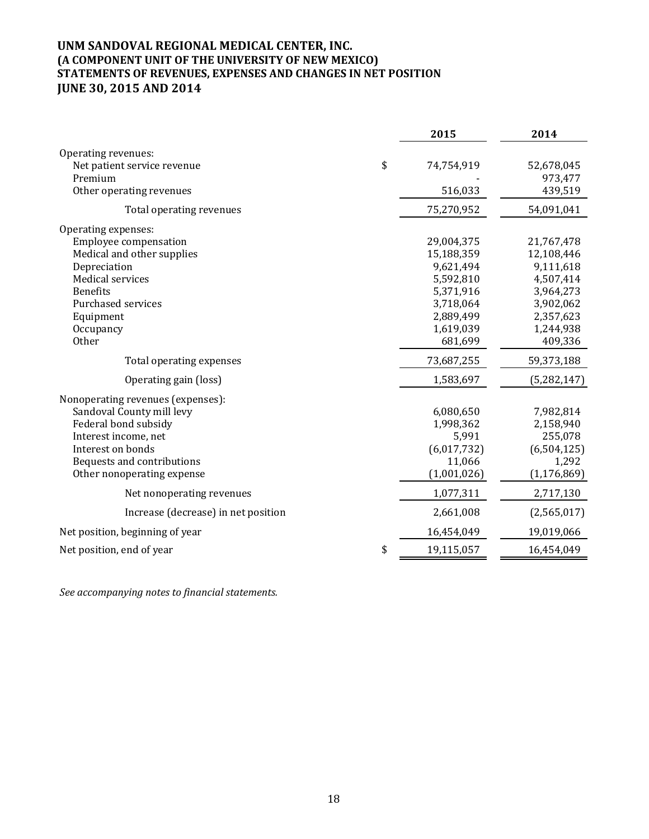### **UNM SANDOVAL REGIONAL MEDICAL CENTER, INC. (A COMPONENT UNIT OF THE UNIVERSITY OF NEW MEXICO) STATEMENTS OF REVENUES, EXPENSES AND CHANGES IN NET POSITION JUNE 30, 2015 AND 2014**

|                                                                                                                                                                                                   | 2015                                                                                                              | 2014                                                                                                              |
|---------------------------------------------------------------------------------------------------------------------------------------------------------------------------------------------------|-------------------------------------------------------------------------------------------------------------------|-------------------------------------------------------------------------------------------------------------------|
| Operating revenues:<br>Net patient service revenue<br>Premium                                                                                                                                     | \$<br>74,754,919                                                                                                  | 52,678,045<br>973,477                                                                                             |
| Other operating revenues                                                                                                                                                                          | 516,033                                                                                                           | 439,519                                                                                                           |
| Total operating revenues                                                                                                                                                                          | 75,270,952                                                                                                        | 54,091,041                                                                                                        |
| Operating expenses:<br>Employee compensation<br>Medical and other supplies<br>Depreciation<br>Medical services<br><b>Benefits</b><br><b>Purchased services</b><br>Equipment<br>Occupancy<br>Other | 29,004,375<br>15,188,359<br>9,621,494<br>5,592,810<br>5,371,916<br>3,718,064<br>2,889,499<br>1,619,039<br>681,699 | 21,767,478<br>12,108,446<br>9,111,618<br>4,507,414<br>3,964,273<br>3,902,062<br>2,357,623<br>1,244,938<br>409,336 |
| Total operating expenses                                                                                                                                                                          | 73,687,255                                                                                                        | 59,373,188                                                                                                        |
| Operating gain (loss)                                                                                                                                                                             | 1,583,697                                                                                                         | (5,282,147)                                                                                                       |
| Nonoperating revenues (expenses):<br>Sandoval County mill levy<br>Federal bond subsidy<br>Interest income, net<br>Interest on bonds<br>Bequests and contributions<br>Other nonoperating expense   | 6,080,650<br>1,998,362<br>5,991<br>(6,017,732)<br>11,066<br>(1,001,026)                                           | 7,982,814<br>2,158,940<br>255,078<br>(6,504,125)<br>1,292<br>(1, 176, 869)                                        |
| Net nonoperating revenues                                                                                                                                                                         | 1,077,311                                                                                                         | 2,717,130                                                                                                         |
| Increase (decrease) in net position                                                                                                                                                               | 2,661,008                                                                                                         | (2,565,017)                                                                                                       |
| Net position, beginning of year                                                                                                                                                                   | 16,454,049                                                                                                        | 19,019,066                                                                                                        |
| Net position, end of year                                                                                                                                                                         | \$<br>19,115,057                                                                                                  | 16,454,049                                                                                                        |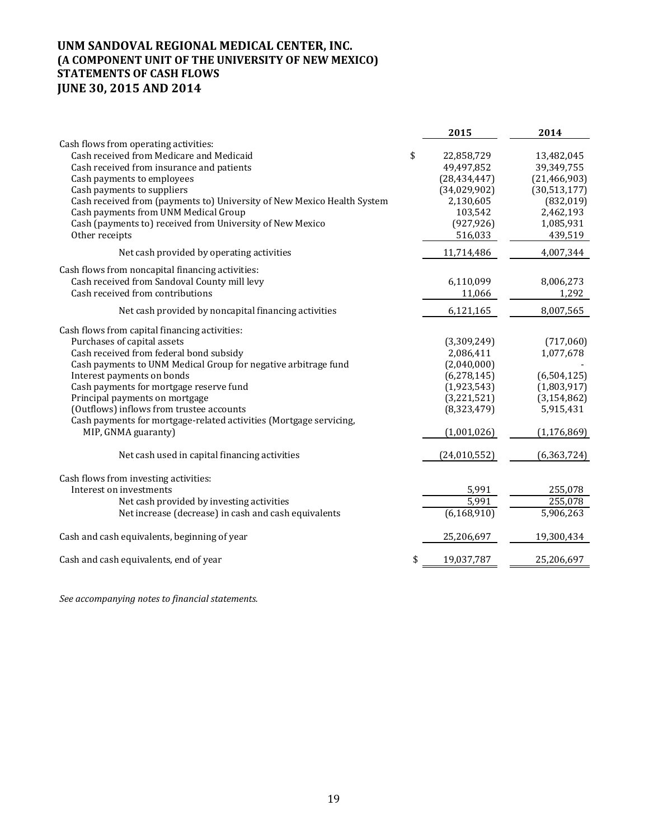#### **UNM SANDOVAL REGIONAL MEDICAL CENTER, INC. (A COMPONENT UNIT OF THE UNIVERSITY OF NEW MEXICO) STATEMENTS OF CASH FLOWS JUNE 30, 2015 AND 2014**

|                                                                                         | 2015                       | 2014           |
|-----------------------------------------------------------------------------------------|----------------------------|----------------|
| Cash flows from operating activities:<br>Cash received from Medicare and Medicaid<br>\$ | 22,858,729                 | 13,482,045     |
| Cash received from insurance and patients                                               | 49,497,852                 | 39,349,755     |
| Cash payments to employees                                                              | (28, 434, 447)             | (21, 466, 903) |
| Cash payments to suppliers                                                              | (34,029,902)               | (30,513,177)   |
| Cash received from (payments to) University of New Mexico Health System                 | 2,130,605                  | (832,019)      |
| Cash payments from UNM Medical Group                                                    | 103,542                    | 2,462,193      |
| Cash (payments to) received from University of New Mexico                               | (927, 926)                 | 1,085,931      |
| Other receipts                                                                          | 516,033                    | 439,519        |
| Net cash provided by operating activities                                               | 11,714,486                 | 4,007,344      |
| Cash flows from noncapital financing activities:                                        |                            |                |
| Cash received from Sandoval County mill levy                                            | 6,110,099                  | 8,006,273      |
| Cash received from contributions                                                        | 11,066                     | 1,292          |
| Net cash provided by noncapital financing activities                                    | 6,121,165                  | 8,007,565      |
| Cash flows from capital financing activities:                                           |                            |                |
| Purchases of capital assets                                                             | (3,309,249)                | (717,060)      |
| Cash received from federal bond subsidy                                                 | 2,086,411                  | 1,077,678      |
| Cash payments to UNM Medical Group for negative arbitrage fund                          | (2,040,000)                |                |
| Interest payments on bonds                                                              | (6, 278, 145)              | (6,504,125)    |
| Cash payments for mortgage reserve fund                                                 | (1,923,543)                | (1,803,917)    |
| Principal payments on mortgage                                                          | (3,221,521)                | (3, 154, 862)  |
| (Outflows) inflows from trustee accounts                                                | (8,323,479)                | 5,915,431      |
| Cash payments for mortgage-related activities (Mortgage servicing,                      |                            |                |
| MIP, GNMA guaranty)                                                                     | (1,001,026)                | (1, 176, 869)  |
| Net cash used in capital financing activities                                           | (24, 010, 552)             | (6, 363, 724)  |
| Cash flows from investing activities:                                                   |                            |                |
| Interest on investments                                                                 | 5,991                      | 255,078        |
| Net cash provided by investing activities                                               | 5,991                      | 255,078        |
| Net increase (decrease) in cash and cash equivalents                                    | $\overline{(6, 168, 910)}$ | 5,906,263      |
| Cash and cash equivalents, beginning of year                                            | 25,206,697                 | 19,300,434     |
| Cash and cash equivalents, end of year<br>\$                                            | 19,037,787                 | 25,206,697     |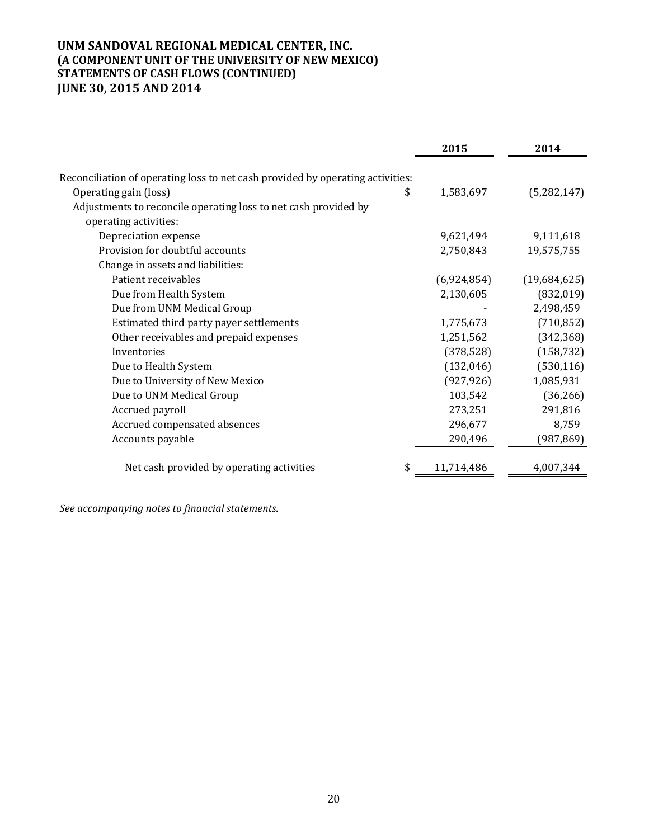#### **UNM SANDOVAL REGIONAL MEDICAL CENTER, INC. (A COMPONENT UNIT OF THE UNIVERSITY OF NEW MEXICO) STATEMENTS OF CASH FLOWS (CONTINUED) JUNE 30, 2015 AND 2014**

|                                                                                | 2015        | 2014         |
|--------------------------------------------------------------------------------|-------------|--------------|
| Reconciliation of operating loss to net cash provided by operating activities: |             |              |
| Operating gain (loss)<br>\$                                                    | 1,583,697   | (5,282,147)  |
| Adjustments to reconcile operating loss to net cash provided by                |             |              |
| operating activities:                                                          |             |              |
| Depreciation expense                                                           | 9,621,494   | 9,111,618    |
| Provision for doubtful accounts                                                | 2,750,843   | 19,575,755   |
| Change in assets and liabilities:                                              |             |              |
| Patient receivables                                                            | (6,924,854) | (19,684,625) |
| Due from Health System                                                         | 2,130,605   | (832,019)    |
| Due from UNM Medical Group                                                     |             | 2,498,459    |
| Estimated third party payer settlements                                        | 1,775,673   | (710, 852)   |
| Other receivables and prepaid expenses                                         | 1,251,562   | (342, 368)   |
| Inventories                                                                    | (378, 528)  | (158, 732)   |
| Due to Health System                                                           | (132,046)   | (530, 116)   |
| Due to University of New Mexico                                                | (927, 926)  | 1,085,931    |
| Due to UNM Medical Group                                                       | 103,542     | (36, 266)    |
| Accrued payroll                                                                | 273,251     | 291,816      |
| Accrued compensated absences                                                   | 296,677     | 8,759        |
| Accounts payable                                                               | 290,496     | (987, 869)   |
| Net cash provided by operating activities                                      | 11,714,486  | 4,007,344    |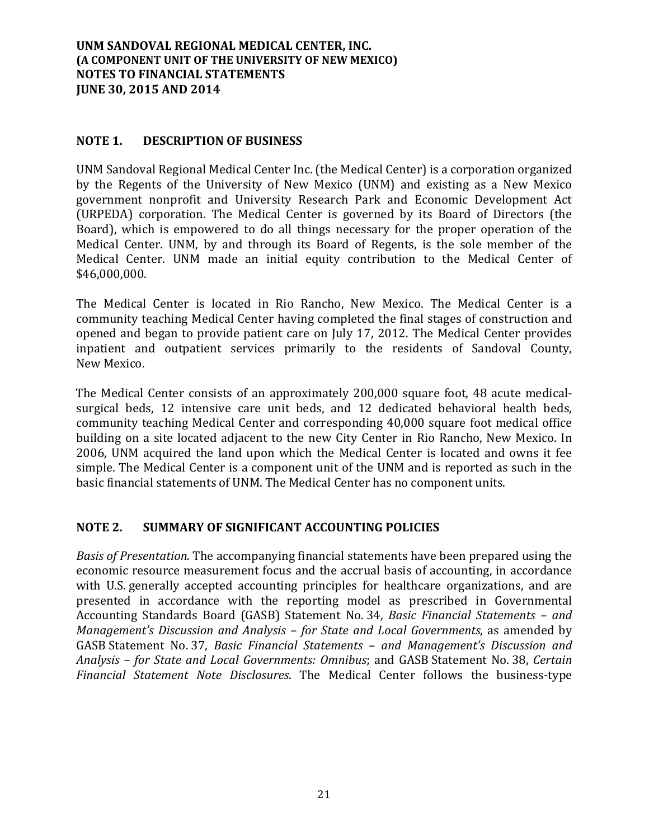### **UNM SANDOVAL REGIONAL MEDICAL CENTER, INC. (A COMPONENT UNIT OF THE UNIVERSITY OF NEW MEXICO) NOTES TO FINANCIAL STATEMENTS JUNE 30, 2015 AND 2014**

### **NOTE 1. DESCRIPTION OF BUSINESS**

UNM Sandoval Regional Medical Center Inc. (the Medical Center) is a corporation organized by the Regents of the University of New Mexico (UNM) and existing as a New Mexico government nonprofit and University Research Park and Economic Development Act (URPEDA) corporation. The Medical Center is governed by its Board of Directors (the Board), which is empowered to do all things necessary for the proper operation of the Medical Center. UNM, by and through its Board of Regents, is the sole member of the Medical Center. UNM made an initial equity contribution to the Medical Center of \$46,000,000. 

The Medical Center is located in Rio Rancho, New Mexico. The Medical Center is a community teaching Medical Center having completed the final stages of construction and opened and began to provide patient care on July 17, 2012. The Medical Center provides inpatient and outpatient services primarily to the residents of Sandoval County, New Mexico. 

The Medical Center consists of an approximately 200,000 square foot, 48 acute medicalsurgical beds, 12 intensive care unit beds, and 12 dedicated behavioral health beds, community teaching Medical Center and corresponding 40,000 square foot medical office building on a site located adjacent to the new City Center in Rio Rancho, New Mexico. In 2006, UNM acquired the land upon which the Medical Center is located and owns it fee simple. The Medical Center is a component unit of the UNM and is reported as such in the basic financial statements of UNM. The Medical Center has no component units.

# **NOTE 2. SUMMARY OF SIGNIFICANT ACCOUNTING POLICIES**

*Basis of Presentation*. The accompanying financial statements have been prepared using the economic resource measurement focus and the accrual basis of accounting, in accordance with U.S. generally accepted accounting principles for healthcare organizations, and are presented in accordance with the reporting model as prescribed in Governmental Accounting Standards Board (GASB) Statement No. 34, *Basic Financial Statements – and Management's Discussion and Analysis – for State and Local Governments*, as amended by GASB Statement No. 37, *Basic Financial Statements – and Management's Discussion and Analysis – for State and Local Governments: Omnibus*; and GASB Statement No. 38, *Certain Financial Statement Note Disclosures*. The Medical Center follows the business-type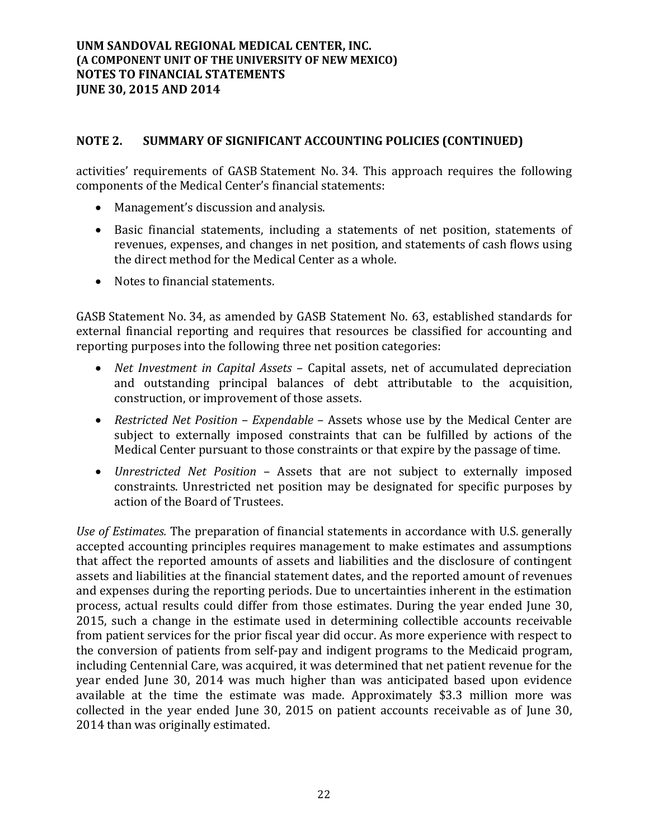activities' requirements of GASB Statement No. 34. This approach requires the following components of the Medical Center's financial statements:

- Management's discussion and analysis.
- Basic financial statements, including a statements of net position, statements of revenues, expenses, and changes in net position, and statements of cash flows using the direct method for the Medical Center as a whole.
- Notes to financial statements.

GASB Statement No. 34, as amended by GASB Statement No. 63, established standards for external financial reporting and requires that resources be classified for accounting and reporting purposes into the following three net position categories:

- *Net Investment in Capital Assets* Capital assets, net of accumulated depreciation and outstanding principal balances of debt attributable to the acquisition, construction, or improvement of those assets.
- Restricted Net Position Expendable Assets whose use by the Medical Center are subject to externally imposed constraints that can be fulfilled by actions of the Medical Center pursuant to those constraints or that expire by the passage of time.
- *Unrestricted Net Position* Assets that are not subject to externally imposed constraints. Unrestricted net position may be designated for specific purposes by action of the Board of Trustees.

Use of *Estimates*. The preparation of financial statements in accordance with U.S. generally accepted accounting principles requires management to make estimates and assumptions that affect the reported amounts of assets and liabilities and the disclosure of contingent assets and liabilities at the financial statement dates, and the reported amount of revenues and expenses during the reporting periods. Due to uncertainties inherent in the estimation process, actual results could differ from those estimates. During the year ended June 30, 2015, such a change in the estimate used in determining collectible accounts receivable from patient services for the prior fiscal year did occur. As more experience with respect to the conversion of patients from self-pay and indigent programs to the Medicaid program, including Centennial Care, was acquired, it was determined that net patient revenue for the year ended June 30, 2014 was much higher than was anticipated based upon evidence available at the time the estimate was made. Approximately \$3.3 million more was collected in the year ended June 30, 2015 on patient accounts receivable as of June 30, 2014 than was originally estimated.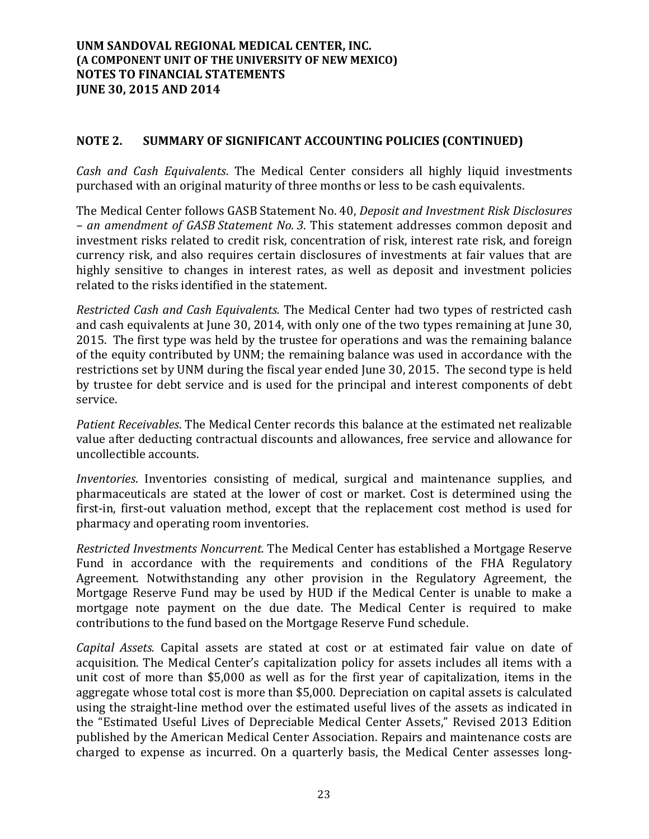*Cash and Cash Equivalents*. The Medical Center considers all highly liquid investments purchased with an original maturity of three months or less to be cash equivalents.

The Medical Center follows GASB Statement No. 40, *Deposit and Investment Risk Disclosures – an amendment of GASB Statement No. 3*. This statement addresses common deposit and investment risks related to credit risk, concentration of risk, interest rate risk, and foreign currency risk, and also requires certain disclosures of investments at fair values that are highly sensitive to changes in interest rates, as well as deposit and investment policies related to the risks identified in the statement.

*Restricted Cash and Cash Equivalents.* The Medical Center had two types of restricted cash and cash equivalents at June 30, 2014, with only one of the two types remaining at June 30, 2015. The first type was held by the trustee for operations and was the remaining balance of the equity contributed by UNM; the remaining balance was used in accordance with the restrictions set by UNM during the fiscal year ended June 30, 2015. The second type is held by trustee for debt service and is used for the principal and interest components of debt service. 

*Patient Receivables*. The Medical Center records this balance at the estimated net realizable value after deducting contractual discounts and allowances, free service and allowance for uncollectible accounts.

*Inventories*. Inventories consisting of medical, surgical and maintenance supplies, and pharmaceuticals are stated at the lower of cost or market. Cost is determined using the first-in, first-out valuation method, except that the replacement cost method is used for pharmacy and operating room inventories.

*Restricted Investments Noncurrent.* The Medical Center has established a Mortgage Reserve Fund in accordance with the requirements and conditions of the FHA Regulatory Agreement. Notwithstanding any other provision in the Regulatory Agreement, the Mortgage Reserve Fund may be used by HUD if the Medical Center is unable to make a mortgage note payment on the due date. The Medical Center is required to make contributions to the fund based on the Mortgage Reserve Fund schedule.

*Capital Assets.* Capital assets are stated at cost or at estimated fair value on date of acquisition. The Medical Center's capitalization policy for assets includes all items with a unit cost of more than \$5,000 as well as for the first year of capitalization, items in the aggregate whose total cost is more than \$5,000. Depreciation on capital assets is calculated using the straight-line method over the estimated useful lives of the assets as indicated in the "Estimated Useful Lives of Depreciable Medical Center Assets," Revised 2013 Edition published by the American Medical Center Association. Repairs and maintenance costs are charged to expense as incurred. On a quarterly basis, the Medical Center assesses long-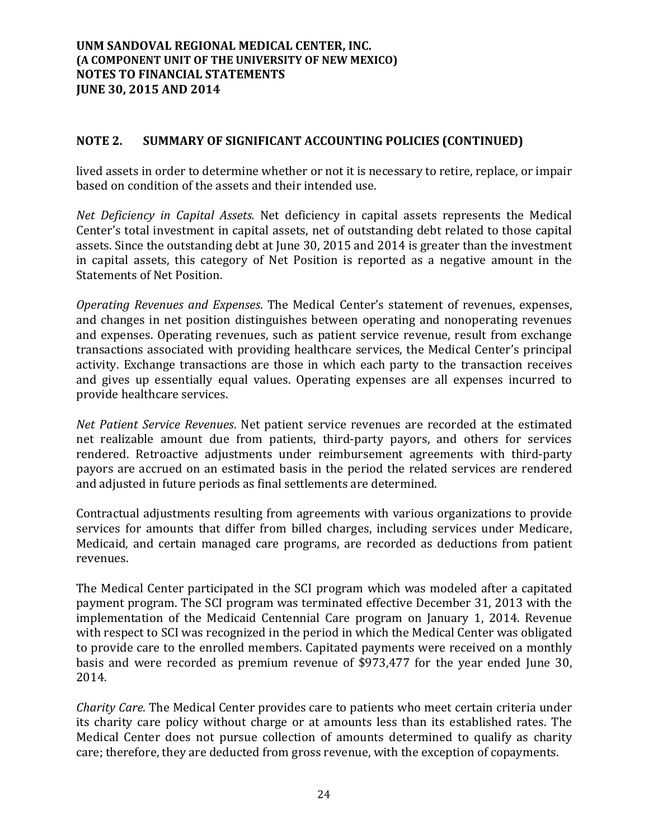lived assets in order to determine whether or not it is necessary to retire, replace, or impair based on condition of the assets and their intended use.

*Net Deficiency in Capital Assets.* Net deficiency in capital assets represents the Medical Center's total investment in capital assets, net of outstanding debt related to those capital assets. Since the outstanding debt at June 30, 2015 and 2014 is greater than the investment in capital assets, this category of Net Position is reported as a negative amount in the Statements of Net Position.

*Operating Revenues and Expenses*. The Medical Center's statement of revenues, expenses, and changes in net position distinguishes between operating and nonoperating revenues and expenses. Operating revenues, such as patient service revenue, result from exchange transactions associated with providing healthcare services, the Medical Center's principal activity. Exchange transactions are those in which each party to the transaction receives and gives up essentially equal values. Operating expenses are all expenses incurred to provide healthcare services.

*Net Patient Service Revenues.* Net patient service revenues are recorded at the estimated net realizable amount due from patients, third-party payors, and others for services rendered. Retroactive adjustments under reimbursement agreements with third-party payors are accrued on an estimated basis in the period the related services are rendered and adjusted in future periods as final settlements are determined.

Contractual adjustments resulting from agreements with various organizations to provide services for amounts that differ from billed charges, including services under Medicare, Medicaid, and certain managed care programs, are recorded as deductions from patient revenues. 

The Medical Center participated in the SCI program which was modeled after a capitated payment program. The SCI program was terminated effective December 31, 2013 with the implementation of the Medicaid Centennial Care program on January 1, 2014. Revenue with respect to SCI was recognized in the period in which the Medical Center was obligated to provide care to the enrolled members. Capitated payments were received on a monthly basis and were recorded as premium revenue of \$973,477 for the year ended June 30, 2014. 

*Charity Care.* The Medical Center provides care to patients who meet certain criteria under its charity care policy without charge or at amounts less than its established rates. The Medical Center does not pursue collection of amounts determined to qualify as charity care; therefore, they are deducted from gross revenue, with the exception of copayments.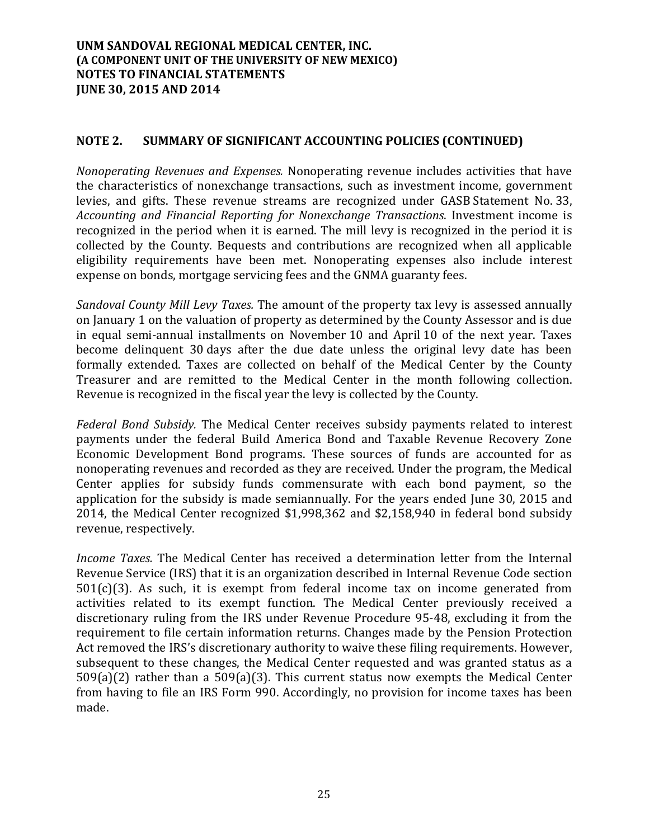*Nonoperating Revenues and Expenses.* Nonoperating revenue includes activities that have the characteristics of nonexchange transactions, such as investment income, government levies, and gifts. These revenue streams are recognized under GASB Statement No. 33, *Accounting and Financial Reporting for Nonexchange Transactions*. Investment income is recognized in the period when it is earned. The mill levy is recognized in the period it is collected by the County. Bequests and contributions are recognized when all applicable eligibility requirements have been met. Nonoperating expenses also include interest expense on bonds, mortgage servicing fees and the GNMA guaranty fees.

*Sandoval County Mill Levy Taxes.* The amount of the property tax levy is assessed annually on January 1 on the valuation of property as determined by the County Assessor and is due in equal semi-annual installments on November 10 and April 10 of the next year. Taxes become delinquent 30 days after the due date unless the original levy date has been formally extended. Taxes are collected on behalf of the Medical Center by the County Treasurer and are remitted to the Medical Center in the month following collection. Revenue is recognized in the fiscal year the levy is collected by the County.

*Federal Bond Subsidy*. The Medical Center receives subsidy payments related to interest payments under the federal Build America Bond and Taxable Revenue Recovery Zone Economic Development Bond programs. These sources of funds are accounted for as nonoperating revenues and recorded as they are received. Under the program, the Medical Center applies for subsidy funds commensurate with each bond payment, so the application for the subsidy is made semiannually. For the years ended June 30, 2015 and 2014, the Medical Center recognized  $$1,998,362$  and  $$2,158,940$  in federal bond subsidy revenue, respectively.

*Income Taxes*. The Medical Center has received a determination letter from the Internal Revenue Service (IRS) that it is an organization described in Internal Revenue Code section  $501(c)(3)$ . As such, it is exempt from federal income tax on income generated from activities related to its exempt function. The Medical Center previously received a discretionary ruling from the IRS under Revenue Procedure 95-48, excluding it from the requirement to file certain information returns. Changes made by the Pension Protection Act removed the IRS's discretionary authority to waive these filing requirements. However, subsequent to these changes, the Medical Center requested and was granted status as a  $509(a)(2)$  rather than a  $509(a)(3)$ . This current status now exempts the Medical Center from having to file an IRS Form 990. Accordingly, no provision for income taxes has been made.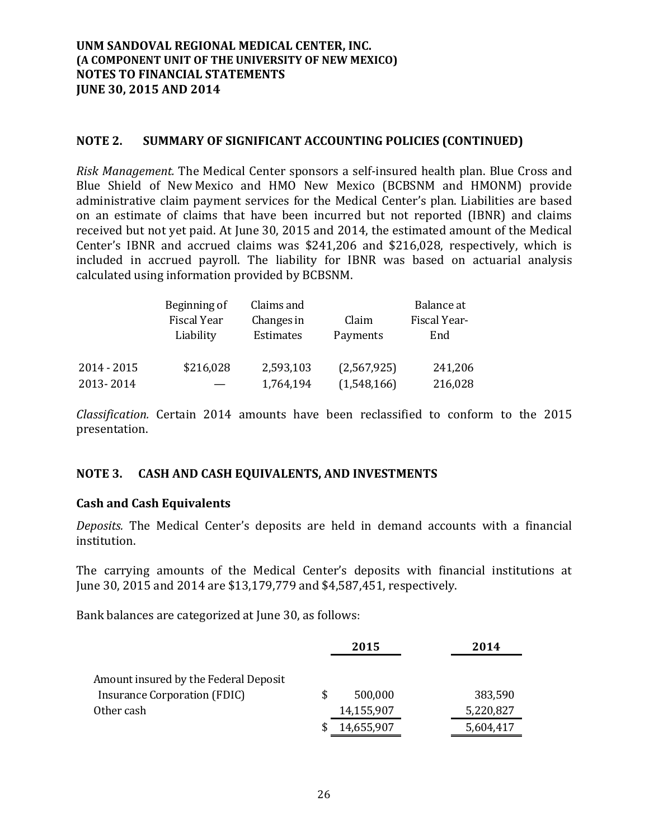*Risk Management*. The Medical Center sponsors a self-insured health plan. Blue Cross and Blue Shield of New Mexico and HMO New Mexico (BCBSNM and HMONM) provide administrative claim payment services for the Medical Center's plan. Liabilities are based on an estimate of claims that have been incurred but not reported (IBNR) and claims received but not yet paid. At June 30, 2015 and 2014, the estimated amount of the Medical Center's IBNR and accrued claims was  $$241,206$  and  $$216,028$ , respectively, which is included in accrued payroll. The liability for IBNR was based on actuarial analysis calculated using information provided by BCBSNM.

|             | Beginning of | Claims and |             | Balance at   |
|-------------|--------------|------------|-------------|--------------|
|             | Fiscal Year  | Changes in | Claim       | Fiscal Year- |
|             | Liability    | Estimates  | Payments    | End          |
| 2014 - 2015 | \$216,028    | 2,593,103  | (2,567,925) | 241,206      |
| 2013-2014   |              | 1,764,194  | (1,548,166) | 216,028      |

*Classification.* Certain 2014 amounts have been reclassified to conform to the 2015 presentation. 

### **NOTE 3. CASH AND CASH EQUIVALENTS, AND INVESTMENTS**

#### **Cash and Cash Equivalents**

*Deposits.* The Medical Center's deposits are held in demand accounts with a financial institution. 

The carrying amounts of the Medical Center's deposits with financial institutions at June 30, 2015 and 2014 are \$13,179,779 and \$4,587,451, respectively.

Bank balances are categorized at June 30, as follows:

|                                       | 2015          | 2014      |
|---------------------------------------|---------------|-----------|
| Amount insured by the Federal Deposit |               |           |
| Insurance Corporation (FDIC)          | 500,000<br>\$ | 383,590   |
| Other cash                            | 14,155,907    | 5,220,827 |
|                                       | 14,655,907    | 5,604,417 |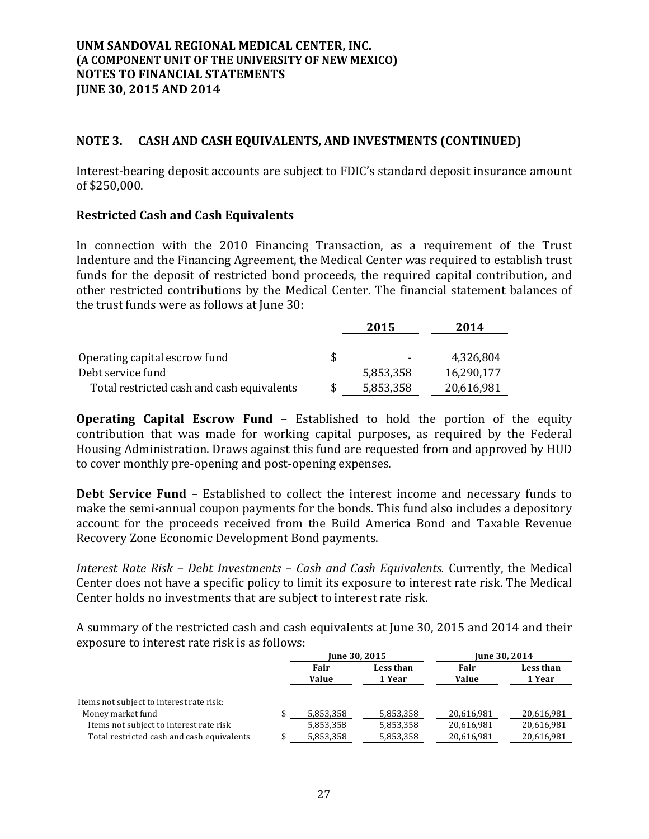### **NOTE 3. CASH AND CASH EQUIVALENTS, AND INVESTMENTS (CONTINUED)**

Interest-bearing deposit accounts are subject to FDIC's standard deposit insurance amount of \$250,000. 

### **Restricted Cash and Cash Equivalents**

In connection with the 2010 Financing Transaction, as a requirement of the Trust Indenture and the Financing Agreement, the Medical Center was required to establish trust funds for the deposit of restricted bond proceeds, the required capital contribution, and other restricted contributions by the Medical Center. The financial statement balances of the trust funds were as follows at lune 30:

|                                            |     | 2015           | 2014       |
|--------------------------------------------|-----|----------------|------------|
|                                            |     |                |            |
| Operating capital escrow fund              | \$. | $\blacksquare$ | 4,326,804  |
| Debt service fund                          |     | 5,853,358      | 16,290,177 |
| Total restricted cash and cash equivalents |     | 5,853,358      | 20,616,981 |

**Operating Capital Escrow Fund** - Established to hold the portion of the equity contribution that was made for working capital purposes, as required by the Federal Housing Administration. Draws against this fund are requested from and approved by HUD to cover monthly pre-opening and post-opening expenses.

**Debt Service Fund** – Established to collect the interest income and necessary funds to make the semi-annual coupon payments for the bonds. This fund also includes a depository account for the proceeds received from the Build America Bond and Taxable Revenue Recovery Zone Economic Development Bond payments.

*Interest Rate Risk – Debt Investments – Cash and Cash Equivalents.* Currently, the Medical Center does not have a specific policy to limit its exposure to interest rate risk. The Medical Center holds no investments that are subject to interest rate risk.

A summary of the restricted cash and cash equivalents at June 30, 2015 and 2014 and their exposure to interest rate risk is as follows:

|                                            | June 30, 2015        |                     | June 30, 2014 |                     |
|--------------------------------------------|----------------------|---------------------|---------------|---------------------|
|                                            | Fair<br><b>Value</b> | Less than<br>1 Year | Fair<br>Value | Less than<br>1 Year |
| Items not subject to interest rate risk:   |                      |                     |               |                     |
| Money market fund                          | 5,853,358            | 5,853,358           | 20,616,981    | 20,616,981          |
| Items not subject to interest rate risk    | 5,853,358            | 5,853,358           | 20,616,981    | 20,616,981          |
| Total restricted cash and cash equivalents | 5,853,358            | 5,853,358           | 20,616,981    | 20,616,981          |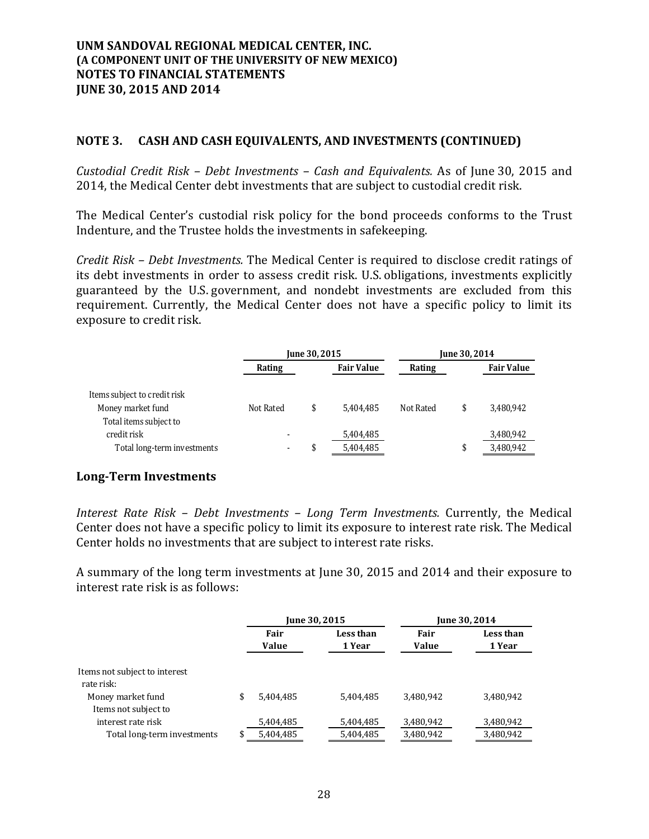### **NOTE 3. CASH AND CASH EQUIVALENTS, AND INVESTMENTS (CONTINUED)**

*Custodial Credit Risk – Debt Investments – Cash and Equivalents.* As of June 30, 2015 and 2014, the Medical Center debt investments that are subject to custodial credit risk.

The Medical Center's custodial risk policy for the bond proceeds conforms to the Trust Indenture, and the Trustee holds the investments in safekeeping.

*Credit Risk - Debt Investments.* The Medical Center is required to disclose credit ratings of its debt investments in order to assess credit risk. U.S. obligations, investments explicitly guaranteed by the U.S. government, and nondebt investments are excluded from this requirement. Currently, the Medical Center does not have a specific policy to limit its exposure to credit risk.

|                              | <b>June 30, 2015</b> |  |                   | June 30, 2014 |    |                   |
|------------------------------|----------------------|--|-------------------|---------------|----|-------------------|
|                              | Rating               |  | <b>Fair Value</b> | Rating        |    | <b>Fair Value</b> |
| Items subject to credit risk |                      |  |                   |               |    |                   |
| Money market fund            | Not Rated            |  | 5.404.485         | Not Rated     | \$ | 3,480,942         |
| Total items subject to       |                      |  |                   |               |    |                   |
| credit risk                  |                      |  | 5,404,485         |               |    | 3,480,942         |
| Total long-term investments  | -                    |  | 5,404,485         |               | \$ | 3,480,942         |

#### **Long‐Term Investments**

*Interest Rate Risk – Debt Investments – Long Term Investments.* Currently, the Medical Center does not have a specific policy to limit its exposure to interest rate risk. The Medical Center holds no investments that are subject to interest rate risks.

A summary of the long term investments at June 30, 2015 and 2014 and their exposure to interest rate risk is as follows:

|                                             |                      | June 30, 2015       |                      | June 30, 2014       |
|---------------------------------------------|----------------------|---------------------|----------------------|---------------------|
|                                             | Fair<br><b>Value</b> | Less than<br>1 Year | Fair<br><b>Value</b> | Less than<br>1 Year |
| Items not subject to interest<br>rate risk: |                      |                     |                      |                     |
| Money market fund                           | \$<br>5.404.485      | 5.404.485           | 3.480.942            | 3.480.942           |
| Items not subject to                        |                      |                     |                      |                     |
| interest rate risk                          | 5,404,485            | 5,404,485           | 3,480,942            | 3,480,942           |
| Total long-term investments                 | \$<br>5,404,485      | 5,404,485           | 3,480,942            | 3,480,942           |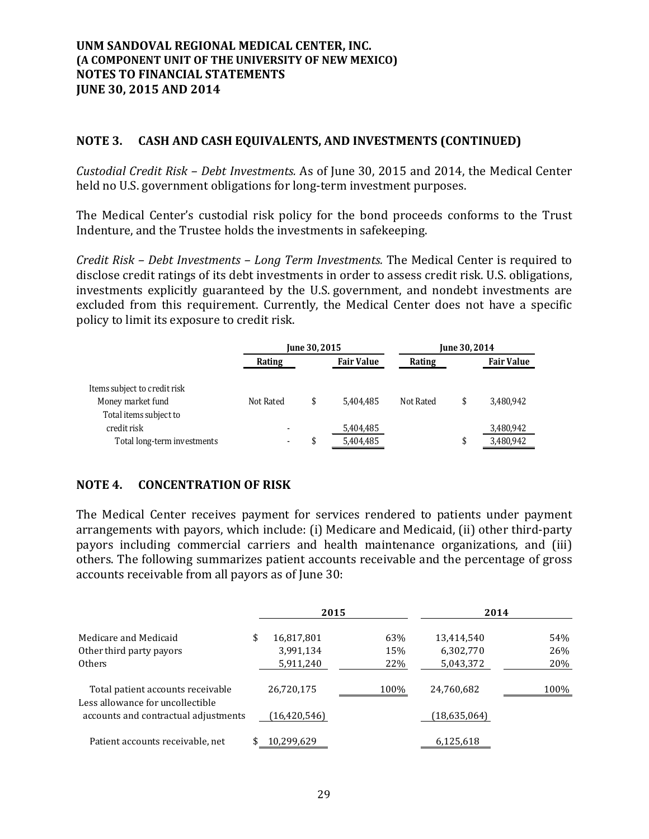### **NOTE 3. CASH AND CASH EQUIVALENTS, AND INVESTMENTS (CONTINUED)**

*Custodial Credit Risk – Debt Investments.* As of June 30, 2015 and 2014, the Medical Center held no U.S. government obligations for long-term investment purposes.

The Medical Center's custodial risk policy for the bond proceeds conforms to the Trust Indenture, and the Trustee holds the investments in safekeeping.

*Credit Risk - Debt Investments - Long Term Investments. The Medical Center is required to* disclose credit ratings of its debt investments in order to assess credit risk. U.S. obligations, investments explicitly guaranteed by the U.S. government, and nondebt investments are excluded from this requirement. Currently, the Medical Center does not have a specific policy to limit its exposure to credit risk.

|                              | June 30, 2015 |    |                   | June 30, 2014 |    |                   |
|------------------------------|---------------|----|-------------------|---------------|----|-------------------|
|                              | Rating        |    | <b>Fair Value</b> | Rating        |    | <b>Fair Value</b> |
| Items subject to credit risk |               |    |                   |               |    |                   |
| Money market fund            | Not Rated     | \$ | 5.404.485         | Not Rated     | \$ | 3.480.942         |
| Total items subject to       |               |    |                   |               |    |                   |
| credit risk                  |               |    | 5,404,485         |               |    | 3,480,942         |
| Total long-term investments  | -             | \$ | 5,404,485         |               | \$ | 3,480,942         |

# **NOTE 4. CONCENTRATION OF RISK**

The Medical Center receives payment for services rendered to patients under payment arrangements with payors, which include: (i) Medicare and Medicaid, (ii) other third-party payors including commercial carriers and health maintenance organizations, and (iii) others. The following summarizes patient accounts receivable and the percentage of gross accounts receivable from all payors as of June 30:

|                                                                          |    |            | 2015 | 2014       |      |  |
|--------------------------------------------------------------------------|----|------------|------|------------|------|--|
| Medicare and Medicaid                                                    | \$ | 16,817,801 | 63%  | 13,414,540 | 54%  |  |
| Other third party payors                                                 |    | 3,991,134  | 15%  | 6,302,770  | 26%  |  |
| Others                                                                   |    | 5,911,240  | 22%  | 5,043,372  | 20%  |  |
| Total patient accounts receivable                                        |    | 26,720,175 | 100% | 24,760,682 | 100% |  |
| Less allowance for uncollectible<br>accounts and contractual adjustments |    | 16,420,546 |      | 18,635,064 |      |  |
| Patient accounts receivable, net                                         |    | 10,299,629 |      | 6,125,618  |      |  |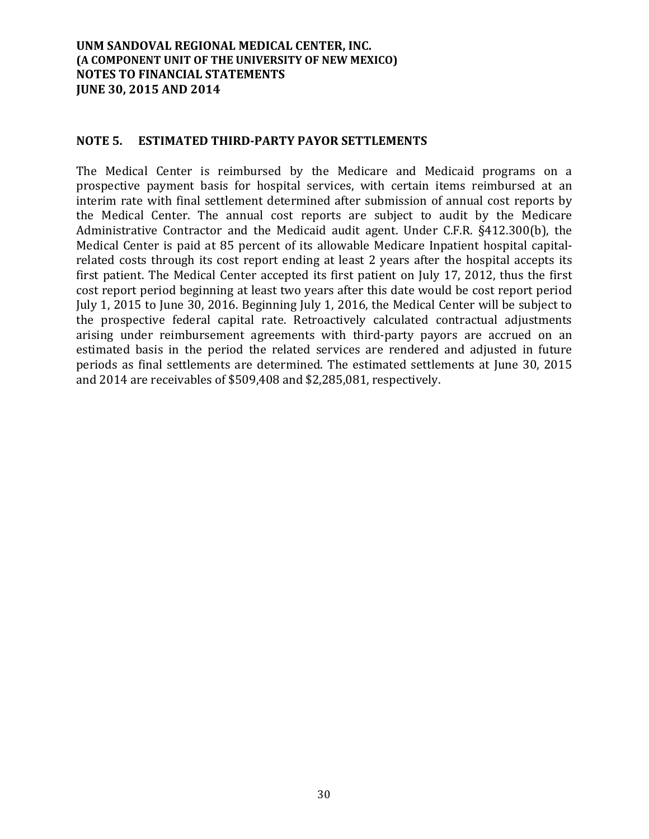### **UNM SANDOVAL REGIONAL MEDICAL CENTER, INC. (A COMPONENT UNIT OF THE UNIVERSITY OF NEW MEXICO) NOTES TO FINANCIAL STATEMENTS JUNE 30, 2015 AND 2014**

### **NOTE 5. ESTIMATED THIRD‐PARTY PAYOR SETTLEMENTS**

The Medical Center is reimbursed by the Medicare and Medicaid programs on a prospective payment basis for hospital services, with certain items reimbursed at an interim rate with final settlement determined after submission of annual cost reports by the Medical Center. The annual cost reports are subject to audit by the Medicare Administrative Contractor and the Medicaid audit agent. Under C.F.R. §412.300(b), the Medical Center is paid at 85 percent of its allowable Medicare Inpatient hospital capitalrelated costs through its cost report ending at least 2 years after the hospital accepts its first patient. The Medical Center accepted its first patient on July 17, 2012, thus the first cost report period beginning at least two years after this date would be cost report period July 1, 2015 to June 30, 2016. Beginning July 1, 2016, the Medical Center will be subject to the prospective federal capital rate. Retroactively calculated contractual adjustments arising under reimbursement agreements with third-party payors are accrued on an estimated basis in the period the related services are rendered and adjusted in future periods as final settlements are determined. The estimated settlements at June 30, 2015 and  $2014$  are receivables of  $$509,408$  and  $$2,285,081$ , respectively.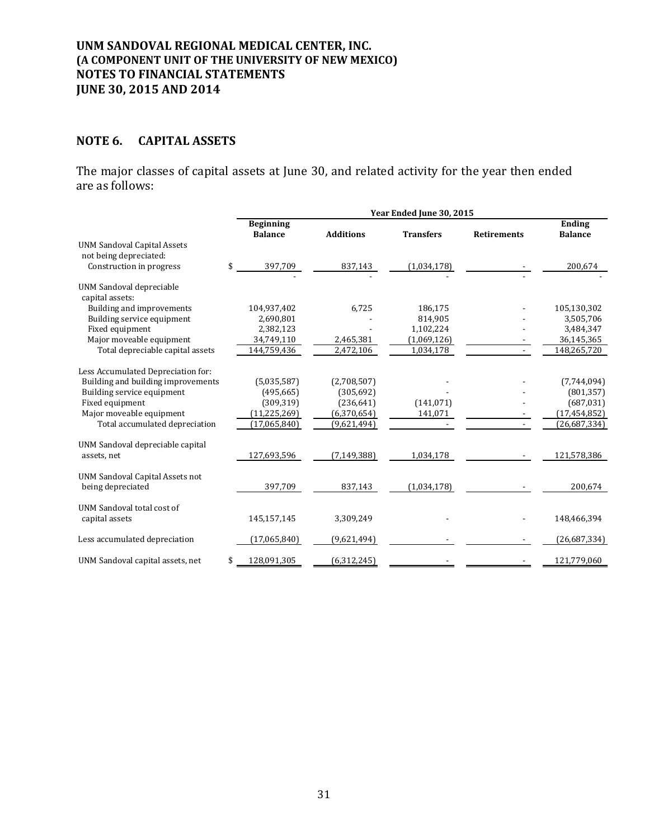# **NOTE 6. CAPITAL ASSETS**

The major classes of capital assets at June 30, and related activity for the year then ended are as follows:

|                                                 | Year Ended June 30, 2015           |                  |                  |                    |                                 |  |
|-------------------------------------------------|------------------------------------|------------------|------------------|--------------------|---------------------------------|--|
|                                                 | <b>Beginning</b><br><b>Balance</b> | <b>Additions</b> | <b>Transfers</b> | <b>Retirements</b> | <b>Ending</b><br><b>Balance</b> |  |
| <b>UNM Sandoval Capital Assets</b>              |                                    |                  |                  |                    |                                 |  |
| not being depreciated:                          |                                    |                  |                  |                    |                                 |  |
| Construction in progress                        | \$<br>397,709                      | 837,143          | (1,034,178)      |                    | 200,674                         |  |
|                                                 |                                    |                  |                  |                    |                                 |  |
| UNM Sandoval depreciable                        |                                    |                  |                  |                    |                                 |  |
| capital assets:                                 |                                    |                  |                  |                    |                                 |  |
| <b>Building and improvements</b>                | 104,937,402                        | 6,725            | 186,175          |                    | 105,130,302                     |  |
| Building service equipment                      | 2,690,801                          |                  | 814,905          |                    | 3,505,706                       |  |
| Fixed equipment                                 | 2,382,123                          |                  | 1,102,224        |                    | 3,484,347                       |  |
| Major moveable equipment                        | 34,749,110                         | 2,465,381        | (1,069,126)      |                    | 36,145,365                      |  |
| Total depreciable capital assets                | 144,759,436                        | 2,472,106        | 1,034,178        |                    | 148,265,720                     |  |
| Less Accumulated Depreciation for:              |                                    |                  |                  |                    |                                 |  |
| Building and building improvements              | (5,035,587)                        | (2,708,507)      |                  |                    | (7,744,094)                     |  |
| Building service equipment                      | (495, 665)                         | (305, 692)       |                  |                    | (801, 357)                      |  |
| Fixed equipment                                 | (309, 319)                         | (236, 641)       | (141, 071)       |                    | (687, 031)                      |  |
| Major moveable equipment                        | (11, 225, 269)                     | (6,370,654)      | 141,071          |                    | (17, 454, 852)                  |  |
| Total accumulated depreciation                  | (17,065,840)                       | (9,621,494)      |                  |                    | (26,687,334)                    |  |
|                                                 |                                    |                  |                  |                    |                                 |  |
| UNM Sandoval depreciable capital<br>assets, net | 127,693,596                        | (7, 149, 388)    | 1,034,178        |                    | 121,578,386                     |  |
|                                                 |                                    |                  |                  |                    |                                 |  |
| <b>UNM Sandoval Capital Assets not</b>          |                                    |                  |                  |                    |                                 |  |
| being depreciated                               | 397,709                            | 837,143          | (1,034,178)      |                    | 200,674                         |  |
| UNM Sandoval total cost of                      |                                    |                  |                  |                    |                                 |  |
| capital assets                                  | 145,157,145                        | 3,309,249        |                  |                    | 148,466,394                     |  |
| Less accumulated depreciation                   | (17,065,840)                       | (9,621,494)      |                  |                    | (26,687,334)                    |  |
| UNM Sandoval capital assets, net                | 128,091,305                        | (6,312,245)      |                  |                    | 121,779,060                     |  |
|                                                 |                                    |                  |                  |                    |                                 |  |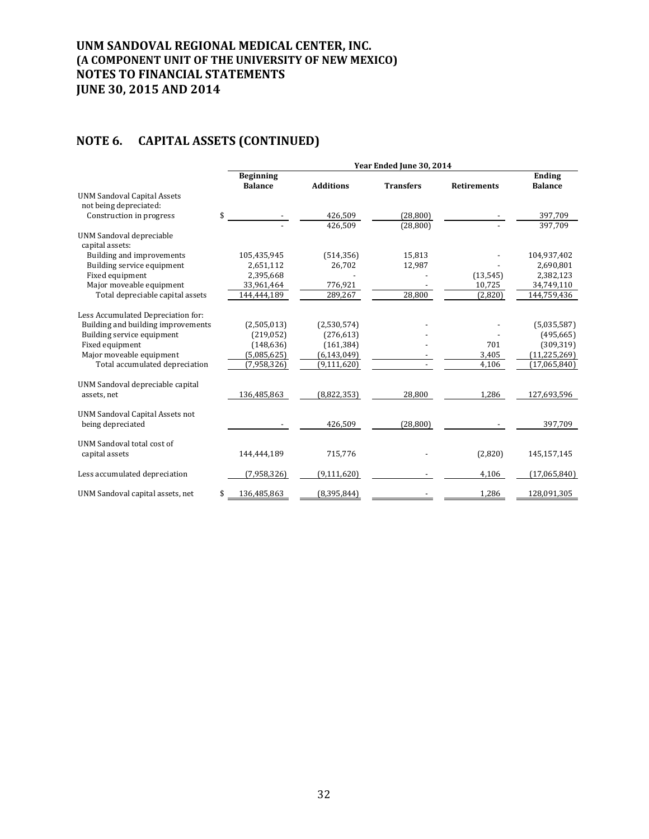### **UNM SANDOVAL REGIONAL MEDICAL CENTER, INC. (A COMPONENT UNIT OF THE UNIVERSITY OF NEW MEXICO) NOTES TO FINANCIAL STATEMENTS JUNE 30, 2015 AND 2014**

# **NOTE 6. CAPITAL ASSETS (CONTINUED)**

|                                        | Year Ended June 30, 2014           |                  |                  |                    |                          |  |
|----------------------------------------|------------------------------------|------------------|------------------|--------------------|--------------------------|--|
|                                        | <b>Beginning</b><br><b>Balance</b> | <b>Additions</b> | <b>Transfers</b> | <b>Retirements</b> | Ending<br><b>Balance</b> |  |
| <b>UNM Sandoval Capital Assets</b>     |                                    |                  |                  |                    |                          |  |
| not being depreciated:                 |                                    |                  |                  |                    |                          |  |
| \$<br>Construction in progress         |                                    | 426,509          | (28, 800)        |                    | 397,709                  |  |
|                                        |                                    | 426,509          | (28, 800)        |                    | 397,709                  |  |
| <b>UNM Sandoval depreciable</b>        |                                    |                  |                  |                    |                          |  |
| capital assets:                        |                                    |                  |                  |                    |                          |  |
| Building and improvements              | 105,435,945                        | (514, 356)       | 15,813           |                    | 104,937,402              |  |
| Building service equipment             | 2,651,112                          | 26,702           | 12,987           |                    | 2,690,801                |  |
| Fixed equipment                        | 2,395,668                          |                  |                  | (13, 545)          | 2,382,123                |  |
| Major moveable equipment               | 33,961,464                         | 776,921          |                  | 10,725             | 34,749,110               |  |
| Total depreciable capital assets       | 144,444,189                        | 289,267          | 28,800           | (2,820)            | 144,759,436              |  |
| Less Accumulated Depreciation for:     |                                    |                  |                  |                    |                          |  |
| Building and building improvements     | (2,505,013)                        | (2,530,574)      |                  |                    | (5,035,587)              |  |
| Building service equipment             | (219, 052)                         | (276, 613)       |                  |                    | (495, 665)               |  |
| Fixed equipment                        | (148, 636)                         | (161, 384)       |                  | 701                | (309, 319)               |  |
| Major moveable equipment               | (5,085,625)                        | (6, 143, 049)    |                  | 3,405              | (11, 225, 269)           |  |
| Total accumulated depreciation         | (7,958,326)                        | (9, 111, 620)    |                  | 4,106              | (17,065,840)             |  |
| UNM Sandoval depreciable capital       |                                    |                  |                  |                    |                          |  |
| assets, net                            | 136,485,863                        | (8,822,353)      | 28,800           | 1,286              | 127,693,596              |  |
| <b>UNM Sandoval Capital Assets not</b> |                                    |                  |                  |                    |                          |  |
| being depreciated                      |                                    | 426,509          | (28, 800)        |                    | 397,709                  |  |
| UNM Sandoval total cost of             |                                    |                  |                  |                    |                          |  |
| capital assets                         | 144,444,189                        | 715,776          |                  | (2,820)            | 145,157,145              |  |
| Less accumulated depreciation          | (7,958,326)                        | (9, 111, 620)    |                  | 4,106              | (17,065,840)             |  |
| UNM Sandoval capital assets, net       | 136,485,863                        | (8, 395, 844)    |                  | 1,286              | 128,091,305              |  |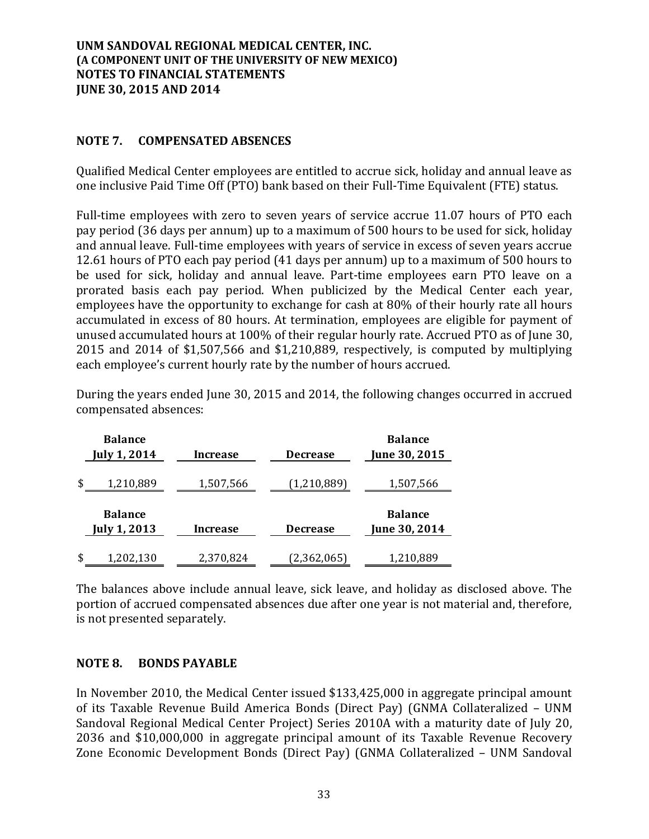### **UNM SANDOVAL REGIONAL MEDICAL CENTER, INC. (A COMPONENT UNIT OF THE UNIVERSITY OF NEW MEXICO) NOTES TO FINANCIAL STATEMENTS JUNE 30, 2015 AND 2014**

### **NOTE 7. COMPENSATED ABSENCES**

Qualified Medical Center employees are entitled to accrue sick, holiday and annual leave as one inclusive Paid Time Off (PTO) bank based on their Full-Time Equivalent (FTE) status.

Full-time employees with zero to seven years of service accrue 11.07 hours of PTO each pay period (36 days per annum) up to a maximum of 500 hours to be used for sick, holiday and annual leave. Full-time employees with years of service in excess of seven years accrue 12.61 hours of PTO each pay period (41 days per annum) up to a maximum of 500 hours to be used for sick, holiday and annual leave. Part-time employees earn PTO leave on a prorated basis each pay period. When publicized by the Medical Center each year, employees have the opportunity to exchange for cash at 80% of their hourly rate all hours accumulated in excess of 80 hours. At termination, employees are eligible for payment of unused accumulated hours at 100% of their regular hourly rate. Accrued PTO as of June 30,  $2015$  and  $2014$  of \$1,507,566 and \$1,210,889, respectively, is computed by multiplying each employee's current hourly rate by the number of hours accrued.

| <b>Balance</b><br><b>July 1, 2014</b> | Increase  | <b>Decrease</b> | <b>Balance</b><br>June 30, 2015 |
|---------------------------------------|-----------|-----------------|---------------------------------|
| 1,210,889                             | 1,507,566 | (1, 210, 889)   | 1,507,566                       |
| <b>Balance</b><br><b>July 1, 2013</b> | Increase  | <b>Decrease</b> | <b>Balance</b><br>June 30, 2014 |
| 1,202,130                             | 2,370,824 | (2,362,065)     | 1,210,889                       |

During the years ended June 30, 2015 and 2014, the following changes occurred in accrued compensated absences:

The balances above include annual leave, sick leave, and holiday as disclosed above. The portion of accrued compensated absences due after one year is not material and, therefore, is not presented separately.

### **NOTE 8. BONDS PAYABLE**

In November 2010, the Medical Center issued \$133,425,000 in aggregate principal amount of its Taxable Revenue Build America Bonds (Direct Pay) (GNMA Collateralized - UNM Sandoval Regional Medical Center Project) Series 2010A with a maturity date of July 20, 2036 and \$10,000,000 in aggregate principal amount of its Taxable Revenue Recovery Zone Economic Development Bonds (Direct Pay) (GNMA Collateralized - UNM Sandoval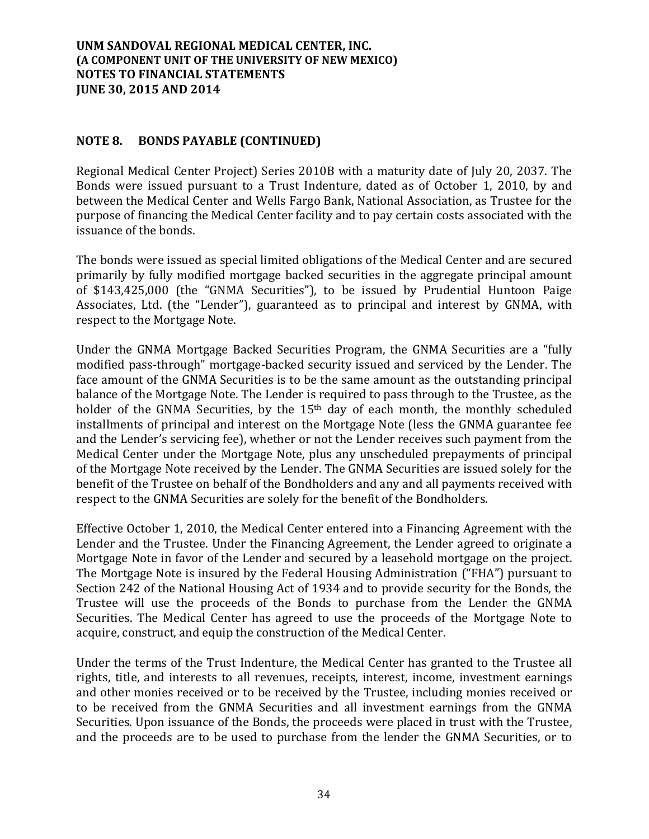### **NOTE 8. BONDS PAYABLE (CONTINUED)**

Regional Medical Center Project) Series 2010B with a maturity date of July 20, 2037. The Bonds were issued pursuant to a Trust Indenture, dated as of October 1, 2010, by and between the Medical Center and Wells Fargo Bank, National Association, as Trustee for the purpose of financing the Medical Center facility and to pay certain costs associated with the issuance of the bonds.

The bonds were issued as special limited obligations of the Medical Center and are secured primarily by fully modified mortgage backed securities in the aggregate principal amount of \$143,425,000 (the "GNMA Securities"), to be issued by Prudential Huntoon Paige Associates, Ltd. (the "Lender"), guaranteed as to principal and interest by GNMA, with respect to the Mortgage Note.

Under the GNMA Mortgage Backed Securities Program, the GNMA Securities are a "fully modified pass-through" mortgage-backed security issued and serviced by the Lender. The face amount of the GNMA Securities is to be the same amount as the outstanding principal balance of the Mortgage Note. The Lender is required to pass through to the Trustee, as the holder of the GNMA Securities, by the  $15<sup>th</sup>$  day of each month, the monthly scheduled installments of principal and interest on the Mortgage Note (less the GNMA guarantee fee and the Lender's servicing fee), whether or not the Lender receives such payment from the Medical Center under the Mortgage Note, plus any unscheduled prepayments of principal of the Mortgage Note received by the Lender. The GNMA Securities are issued solely for the benefit of the Trustee on behalf of the Bondholders and any and all payments received with respect to the GNMA Securities are solely for the benefit of the Bondholders.

Effective October 1, 2010, the Medical Center entered into a Financing Agreement with the Lender and the Trustee. Under the Financing Agreement, the Lender agreed to originate a Mortgage Note in favor of the Lender and secured by a leasehold mortgage on the project. The Mortgage Note is insured by the Federal Housing Administration ("FHA") pursuant to Section 242 of the National Housing Act of 1934 and to provide security for the Bonds, the Trustee will use the proceeds of the Bonds to purchase from the Lender the GNMA Securities. The Medical Center has agreed to use the proceeds of the Mortgage Note to acquire, construct, and equip the construction of the Medical Center.

Under the terms of the Trust Indenture, the Medical Center has granted to the Trustee all rights, title, and interests to all revenues, receipts, interest, income, investment earnings and other monies received or to be received by the Trustee, including monies received or to be received from the GNMA Securities and all investment earnings from the GNMA Securities. Upon issuance of the Bonds, the proceeds were placed in trust with the Trustee, and the proceeds are to be used to purchase from the lender the GNMA Securities, or to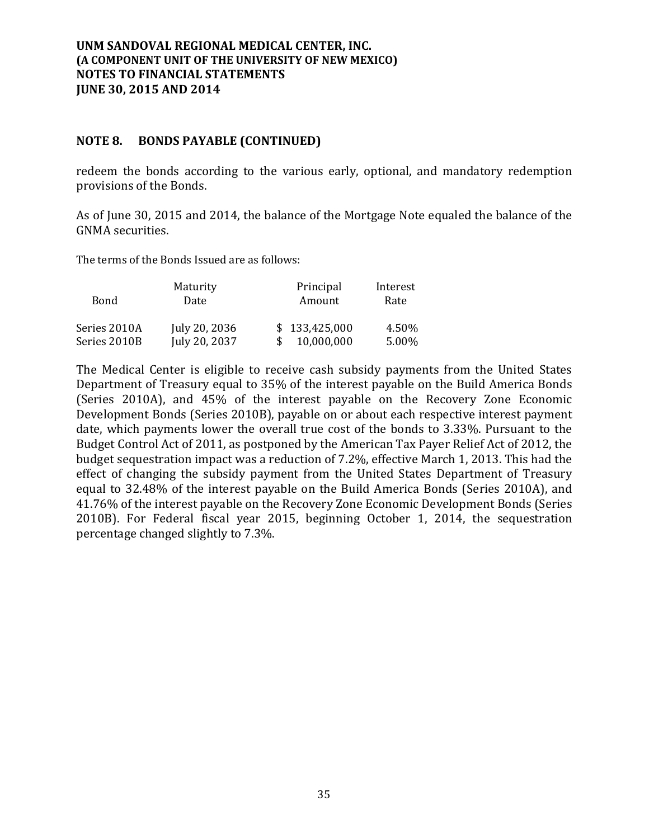### **UNM SANDOVAL REGIONAL MEDICAL CENTER, INC. (A COMPONENT UNIT OF THE UNIVERSITY OF NEW MEXICO) NOTES TO FINANCIAL STATEMENTS JUNE 30, 2015 AND 2014**

### **NOTE 8. BONDS PAYABLE (CONTINUED)**

redeem the bonds according to the various early, optional, and mandatory redemption provisions of the Bonds.

As of June 30, 2015 and 2014, the balance of the Mortgage Note equaled the balance of the GNMA securities.

The terms of the Bonds Issued are as follows:

| Bond         | Maturity      | Principal     | Interest |
|--------------|---------------|---------------|----------|
|              | Date          | Amount        | Rate     |
| Series 2010A | July 20, 2036 | \$133,425,000 | 4.50%    |
| Series 2010B | July 20, 2037 | 10,000,000    | 5.00%    |

The Medical Center is eligible to receive cash subsidy payments from the United States Department of Treasury equal to 35% of the interest payable on the Build America Bonds (Series 2010A), and 45% of the interest payable on the Recovery Zone Economic Development Bonds (Series 2010B), payable on or about each respective interest payment date, which payments lower the overall true cost of the bonds to 3.33%. Pursuant to the Budget Control Act of 2011, as postponed by the American Tax Payer Relief Act of 2012, the budget sequestration impact was a reduction of 7.2%, effective March 1, 2013. This had the effect of changing the subsidy payment from the United States Department of Treasury equal to 32.48% of the interest payable on the Build America Bonds (Series 2010A), and 41.76% of the interest payable on the Recovery Zone Economic Development Bonds (Series 2010B). For Federal fiscal year 2015, beginning October 1, 2014, the sequestration percentage changed slightly to 7.3%.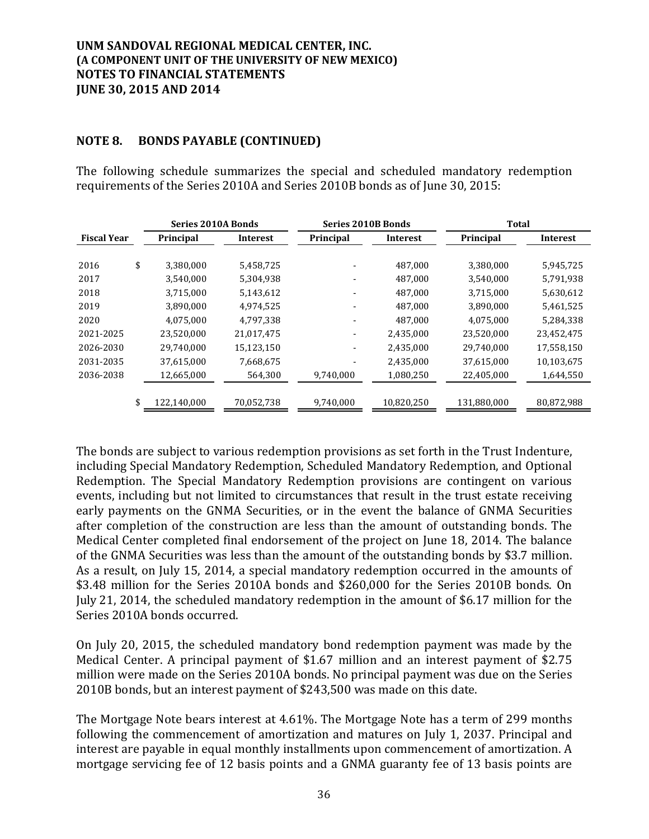### **UNM SANDOVAL REGIONAL MEDICAL CENTER, INC. (A COMPONENT UNIT OF THE UNIVERSITY OF NEW MEXICO) NOTES TO FINANCIAL STATEMENTS JUNE 30, 2015 AND 2014**

### **NOTE 8. BONDS PAYABLE (CONTINUED)**

The following schedule summarizes the special and scheduled mandatory redemption requirements of the Series 2010A and Series 2010B bonds as of June 30, 2015:

| Principal          | Interest   | <b>Principal</b>          | Interest   | <b>Principal</b>          | <b>Interest</b> |
|--------------------|------------|---------------------------|------------|---------------------------|-----------------|
|                    |            |                           |            |                           |                 |
| \$<br>3,380,000    | 5,458,725  |                           | 487,000    | 3,380,000                 | 5,945,725       |
| 3.540.000          | 5,304,938  |                           | 487,000    | 3,540,000                 | 5,791,938       |
| 3,715,000          | 5,143,612  |                           | 487,000    | 3,715,000                 | 5,630,612       |
| 3,890,000          | 4,974,525  |                           | 487,000    | 3,890,000                 | 5,461,525       |
| 4,075,000          | 4,797,338  | -                         | 487.000    | 4,075,000                 | 5,284,338       |
| 23,520,000         | 21,017,475 |                           | 2,435,000  | 23,520,000                | 23,452,475      |
| 29.740.000         | 15.123.150 | -                         | 2,435,000  | 29.740.000                | 17,558,150      |
| 37,615,000         | 7,668,675  |                           | 2,435,000  | 37,615,000                | 10,103,675      |
| 12,665,000         | 564,300    | 9,740,000                 | 1,080,250  | 22,405,000                | 1,644,550       |
|                    |            |                           |            |                           |                 |
| \$<br>122,140,000  | 70,052,738 | 9,740,000                 | 10,820,250 | 131.880.000               | 80,872,988      |
| <b>Fiscal Year</b> |            | <b>Series 2010A Bonds</b> |            | <b>Series 2010B Bonds</b> | <b>Total</b>    |

The bonds are subject to various redemption provisions as set forth in the Trust Indenture, including Special Mandatory Redemption, Scheduled Mandatory Redemption, and Optional Redemption. The Special Mandatory Redemption provisions are contingent on various events, including but not limited to circumstances that result in the trust estate receiving early payments on the GNMA Securities, or in the event the balance of GNMA Securities after completion of the construction are less than the amount of outstanding bonds. The Medical Center completed final endorsement of the project on June 18, 2014. The balance of the GNMA Securities was less than the amount of the outstanding bonds by \$3.7 million. As a result, on July 15, 2014, a special mandatory redemption occurred in the amounts of \$3.48 million for the Series 2010A bonds and \$260,000 for the Series 2010B bonds. On July 21, 2014, the scheduled mandatory redemption in the amount of \$6.17 million for the Series 2010A bonds occurred.

On July 20, 2015, the scheduled mandatory bond redemption payment was made by the Medical Center. A principal payment of \$1.67 million and an interest payment of \$2.75 million were made on the Series 2010A bonds. No principal payment was due on the Series 2010B bonds, but an interest payment of \$243,500 was made on this date.

The Mortgage Note bears interest at 4.61%. The Mortgage Note has a term of 299 months following the commencement of amortization and matures on July 1, 2037. Principal and interest are payable in equal monthly installments upon commencement of amortization. A mortgage servicing fee of 12 basis points and a GNMA guaranty fee of 13 basis points are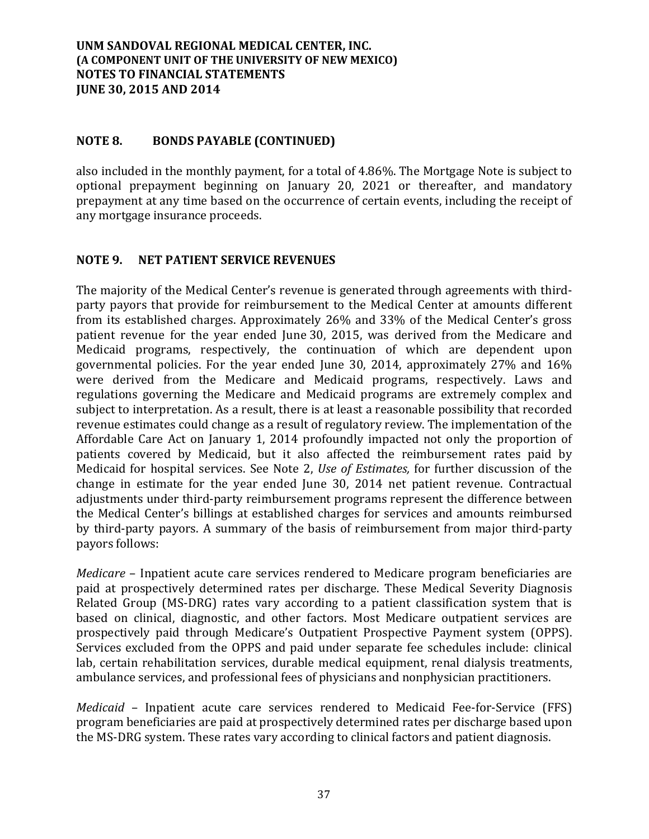### **NOTE 8. BONDS PAYABLE (CONTINUED)**

also included in the monthly payment, for a total of  $4.86\%$ . The Mortgage Note is subject to optional prepayment beginning on January 20, 2021 or thereafter, and mandatory prepayment at any time based on the occurrence of certain events, including the receipt of any mortgage insurance proceeds.

## **NOTE 9. NET PATIENT SERVICE REVENUES**

The majority of the Medical Center's revenue is generated through agreements with thirdparty payors that provide for reimbursement to the Medical Center at amounts different from its established charges. Approximately 26% and 33% of the Medical Center's gross patient revenue for the year ended June 30, 2015, was derived from the Medicare and Medicaid programs, respectively, the continuation of which are dependent upon governmental policies. For the year ended June 30, 2014, approximately  $27\%$  and  $16\%$ were derived from the Medicare and Medicaid programs, respectively. Laws and regulations governing the Medicare and Medicaid programs are extremely complex and subject to interpretation. As a result, there is at least a reasonable possibility that recorded revenue estimates could change as a result of regulatory review. The implementation of the Affordable Care Act on January 1, 2014 profoundly impacted not only the proportion of patients covered by Medicaid, but it also affected the reimbursement rates paid by Medicaid for hospital services. See Note 2, *Use of Estimates*, for further discussion of the change in estimate for the year ended June 30, 2014 net patient revenue. Contractual adjustments under third-party reimbursement programs represent the difference between the Medical Center's billings at established charges for services and amounts reimbursed by third-party payors. A summary of the basis of reimbursement from major third-party payors follows:

*Medicare* – Inpatient acute care services rendered to Medicare program beneficiaries are paid at prospectively determined rates per discharge. These Medical Severity Diagnosis Related Group (MS-DRG) rates vary according to a patient classification system that is based on clinical, diagnostic, and other factors. Most Medicare outpatient services are prospectively paid through Medicare's Outpatient Prospective Payment system (OPPS). Services excluded from the OPPS and paid under separate fee schedules include: clinical lab, certain rehabilitation services, durable medical equipment, renal dialysis treatments, ambulance services, and professional fees of physicians and nonphysician practitioners.

*Medicaid* – Inpatient acute care services rendered to Medicaid Fee-for-Service (FFS) program beneficiaries are paid at prospectively determined rates per discharge based upon the MS-DRG system. These rates vary according to clinical factors and patient diagnosis.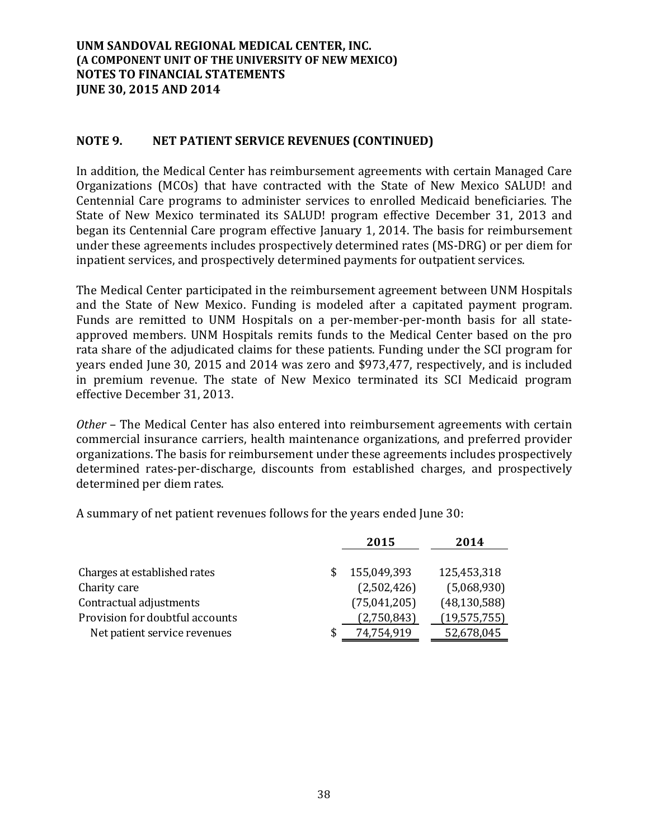### **NOTE 9. NET PATIENT SERVICE REVENUES (CONTINUED)**

In addition, the Medical Center has reimbursement agreements with certain Managed Care Organizations (MCOs) that have contracted with the State of New Mexico SALUD! and Centennial Care programs to administer services to enrolled Medicaid beneficiaries. The State of New Mexico terminated its SALUD! program effective December 31, 2013 and began its Centennial Care program effective January 1, 2014. The basis for reimbursement under these agreements includes prospectively determined rates (MS-DRG) or per diem for inpatient services, and prospectively determined payments for outpatient services.

The Medical Center participated in the reimbursement agreement between UNM Hospitals and the State of New Mexico. Funding is modeled after a capitated payment program. Funds are remitted to UNM Hospitals on a per-member-per-month basis for all stateapproved members. UNM Hospitals remits funds to the Medical Center based on the pro rata share of the adjudicated claims for these patients. Funding under the SCI program for years ended June 30, 2015 and 2014 was zero and \$973,477, respectively, and is included in premium revenue. The state of New Mexico terminated its SCI Medicaid program effective December 31, 2013.

*Other* – The Medical Center has also entered into reimbursement agreements with certain commercial insurance carriers, health maintenance organizations, and preferred provider organizations. The basis for reimbursement under these agreements includes prospectively determined rates-per-discharge, discounts from established charges, and prospectively determined per diem rates.

A summary of net patient revenues follows for the years ended June 30:

|                                 |    | 2015         | 2014           |
|---------------------------------|----|--------------|----------------|
|                                 |    |              |                |
| Charges at established rates    | S. | 155,049,393  | 125,453,318    |
| Charity care                    |    | (2,502,426)  | (5,068,930)    |
| Contractual adjustments         |    | (75,041,205) | (48, 130, 588) |
| Provision for doubtful accounts |    | (2,750,843)  | (19, 575, 755) |
| Net patient service revenues    | S  | 74,754,919   | 52,678,045     |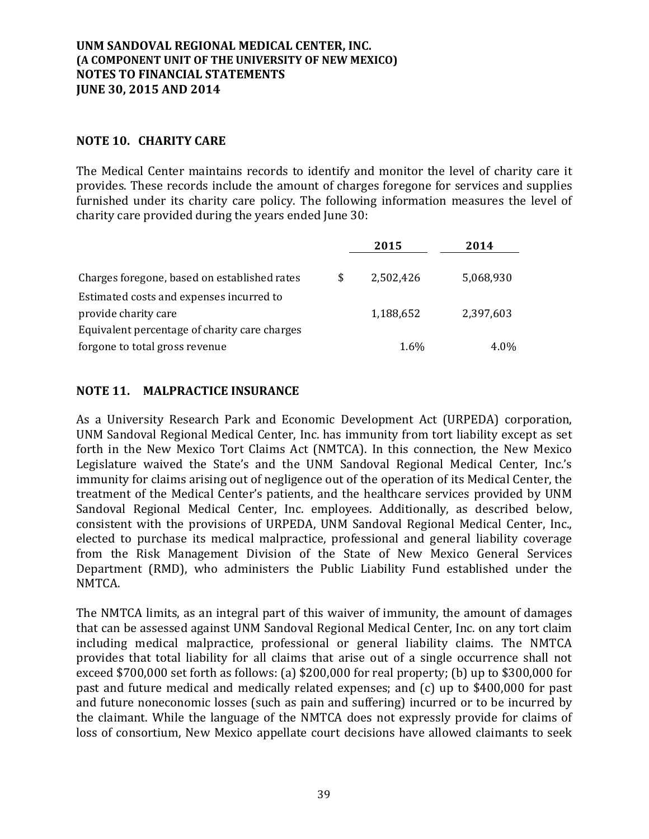### **NOTE 10. CHARITY CARE**

The Medical Center maintains records to identify and monitor the level of charity care it provides. These records include the amount of charges foregone for services and supplies furnished under its charity care policy. The following information measures the level of charity care provided during the years ended June 30:

|                                               | 2015            | 2014      |
|-----------------------------------------------|-----------------|-----------|
|                                               |                 |           |
| Charges foregone, based on established rates  | \$<br>2,502,426 | 5,068,930 |
| Estimated costs and expenses incurred to      |                 |           |
| provide charity care                          | 1,188,652       | 2,397,603 |
| Equivalent percentage of charity care charges |                 |           |
| forgone to total gross revenue                | 1.6%            | 4.0%      |

### **NOTE 11. MALPRACTICE INSURANCE**

As a University Research Park and Economic Development Act (URPEDA) corporation, UNM Sandoval Regional Medical Center, Inc. has immunity from tort liability except as set forth in the New Mexico Tort Claims Act (NMTCA). In this connection, the New Mexico Legislature waived the State's and the UNM Sandoval Regional Medical Center, Inc.'s immunity for claims arising out of negligence out of the operation of its Medical Center, the treatment of the Medical Center's patients, and the healthcare services provided by UNM Sandoval Regional Medical Center, Inc. employees. Additionally, as described below, consistent with the provisions of URPEDA, UNM Sandoval Regional Medical Center, Inc., elected to purchase its medical malpractice, professional and general liability coverage from the Risk Management Division of the State of New Mexico General Services Department (RMD), who administers the Public Liability Fund established under the NMTCA. 

The NMTCA limits, as an integral part of this waiver of immunity, the amount of damages that can be assessed against UNM Sandoval Regional Medical Center, Inc. on any tort claim including medical malpractice, professional or general liability claims. The NMTCA provides that total liability for all claims that arise out of a single occurrence shall not exceed  $$700,000$  set forth as follows: (a)  $$200,000$  for real property; (b) up to  $$300,000$  for past and future medical and medically related expenses; and (c) up to \$400,000 for past and future noneconomic losses (such as pain and suffering) incurred or to be incurred by the claimant. While the language of the NMTCA does not expressly provide for claims of loss of consortium, New Mexico appellate court decisions have allowed claimants to seek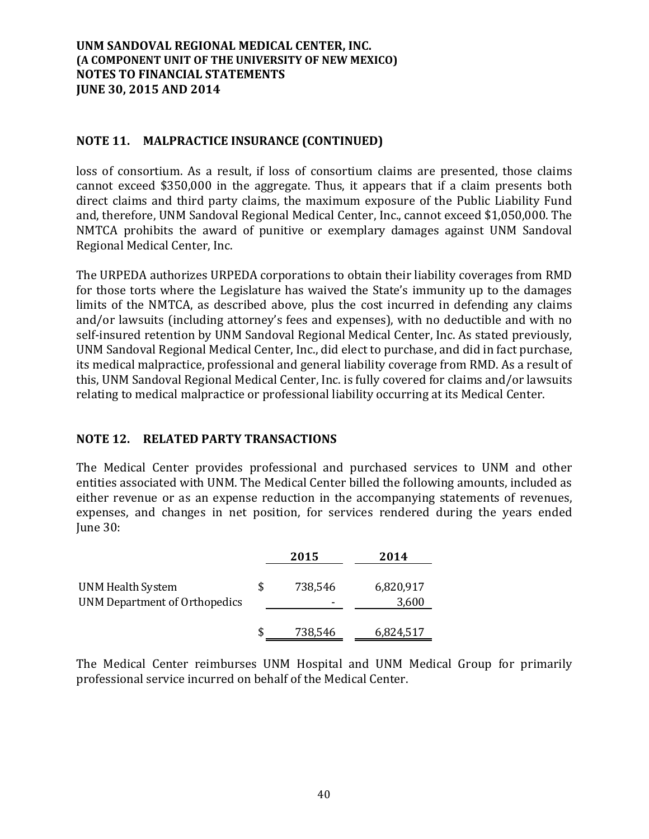### **UNM SANDOVAL REGIONAL MEDICAL CENTER, INC. (A COMPONENT UNIT OF THE UNIVERSITY OF NEW MEXICO) NOTES TO FINANCIAL STATEMENTS JUNE 30, 2015 AND 2014**

### **NOTE 11. MALPRACTICE INSURANCE (CONTINUED)**

loss of consortium. As a result, if loss of consortium claims are presented, those claims cannot exceed \$350,000 in the aggregate. Thus, it appears that if a claim presents both direct claims and third party claims, the maximum exposure of the Public Liability Fund and, therefore, UNM Sandoval Regional Medical Center, Inc., cannot exceed \$1,050,000. The NMTCA prohibits the award of punitive or exemplary damages against UNM Sandoval Regional Medical Center, Inc.

The URPEDA authorizes URPEDA corporations to obtain their liability coverages from RMD for those torts where the Legislature has waived the State's immunity up to the damages limits of the NMTCA, as described above, plus the cost incurred in defending any claims and/or lawsuits (including attorney's fees and expenses), with no deductible and with no self-insured retention by UNM Sandoval Regional Medical Center, Inc. As stated previously, UNM Sandoval Regional Medical Center, Inc., did elect to purchase, and did in fact purchase, its medical malpractice, professional and general liability coverage from RMD. As a result of this, UNM Sandoval Regional Medical Center, Inc. is fully covered for claims and/or lawsuits relating to medical malpractice or professional liability occurring at its Medical Center.

# **NOTE 12. RELATED PARTY TRANSACTIONS**

The Medical Center provides professional and purchased services to UNM and other entities associated with UNM. The Medical Center billed the following amounts, included as either revenue or as an expense reduction in the accompanying statements of revenues, expenses, and changes in net position, for services rendered during the years ended June 30:

|                                                           |   | 2015    | 2014               |
|-----------------------------------------------------------|---|---------|--------------------|
| <b>UNM Health System</b><br>UNM Department of Orthopedics |   | 738,546 | 6,820,917<br>3,600 |
|                                                           | S | 738,546 | 6,824,517          |

The Medical Center reimburses UNM Hospital and UNM Medical Group for primarily professional service incurred on behalf of the Medical Center.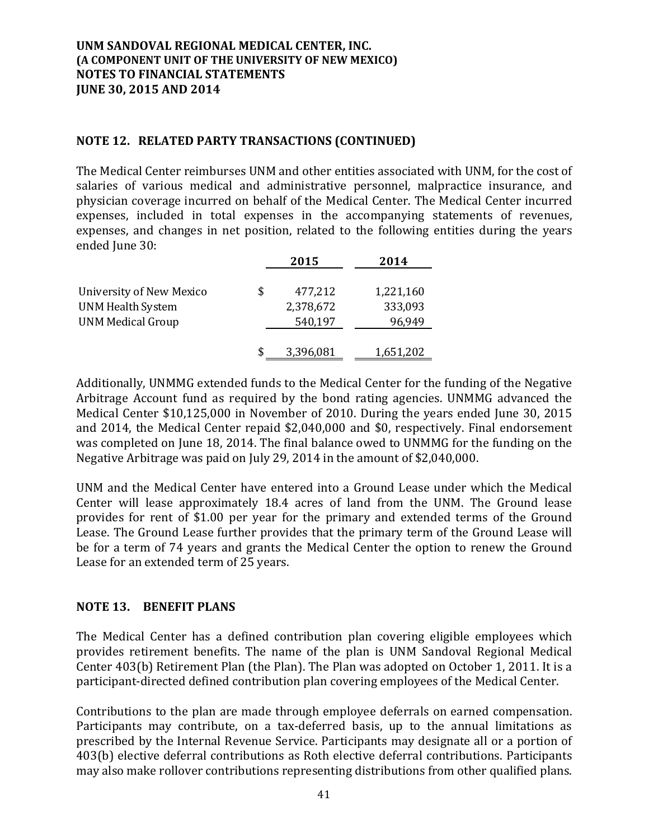## **NOTE 12. RELATED PARTY TRANSACTIONS (CONTINUED)**

The Medical Center reimburses UNM and other entities associated with UNM, for the cost of salaries of various medical and administrative personnel, malpractice insurance, and physician coverage incurred on behalf of the Medical Center. The Medical Center incurred expenses, included in total expenses in the accompanying statements of revenues, expenses, and changes in net position, related to the following entities during the years ended June 30:

|                                                                                  | 2015                                  | 2014                           |
|----------------------------------------------------------------------------------|---------------------------------------|--------------------------------|
| University of New Mexico<br><b>UNM Health System</b><br><b>UNM Medical Group</b> | \$<br>477,212<br>2,378,672<br>540,197 | 1,221,160<br>333,093<br>96,949 |
|                                                                                  | 3,396,081                             | 1,651,202                      |

Additionally, UNMMG extended funds to the Medical Center for the funding of the Negative Arbitrage Account fund as required by the bond rating agencies. UNMMG advanced the Medical Center \$10,125,000 in November of 2010. During the years ended June 30, 2015 and 2014, the Medical Center repaid \$2,040,000 and \$0, respectively. Final endorsement was completed on June 18, 2014. The final balance owed to UNMMG for the funding on the Negative Arbitrage was paid on July 29, 2014 in the amount of  $$2,040,000$ .

UNM and the Medical Center have entered into a Ground Lease under which the Medical Center will lease approximately 18.4 acres of land from the UNM. The Ground lease provides for rent of \$1.00 per year for the primary and extended terms of the Ground Lease. The Ground Lease further provides that the primary term of the Ground Lease will be for a term of 74 years and grants the Medical Center the option to renew the Ground Lease for an extended term of 25 years.

### **NOTE 13. BENEFIT PLANS**

The Medical Center has a defined contribution plan covering eligible employees which provides retirement benefits. The name of the plan is UNM Sandoval Regional Medical Center 403(b) Retirement Plan (the Plan). The Plan was adopted on October 1, 2011. It is a participant-directed defined contribution plan covering employees of the Medical Center.

Contributions to the plan are made through employee deferrals on earned compensation. Participants may contribute, on a tax-deferred basis, up to the annual limitations as prescribed by the Internal Revenue Service. Participants may designate all or a portion of 403(b) elective deferral contributions as Roth elective deferral contributions. Participants may also make rollover contributions representing distributions from other qualified plans.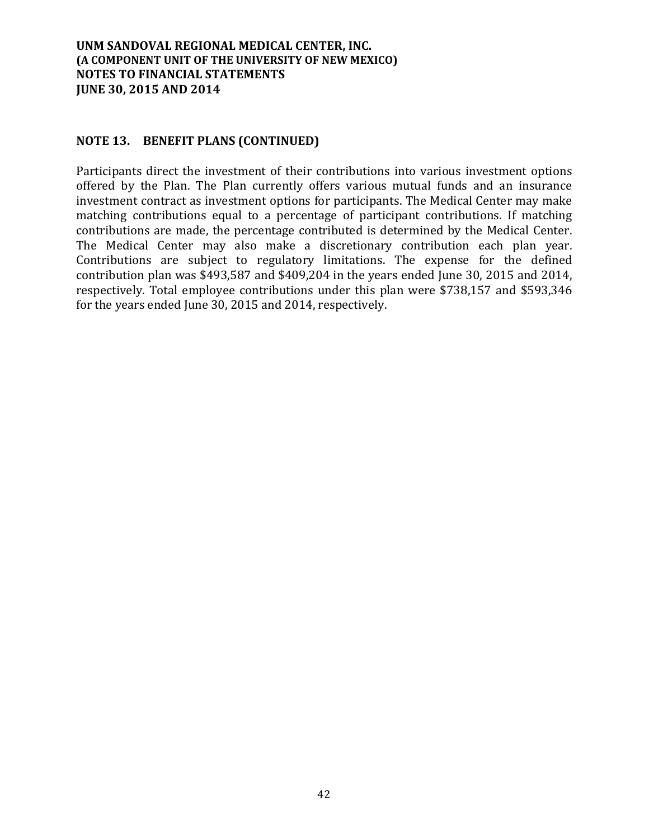### **UNM SANDOVAL REGIONAL MEDICAL CENTER, INC. (A COMPONENT UNIT OF THE UNIVERSITY OF NEW MEXICO) NOTES TO FINANCIAL STATEMENTS JUNE 30, 2015 AND 2014**

### **NOTE 13. BENEFIT PLANS (CONTINUED)**

Participants direct the investment of their contributions into various investment options offered by the Plan. The Plan currently offers various mutual funds and an insurance investment contract as investment options for participants. The Medical Center may make matching contributions equal to a percentage of participant contributions. If matching contributions are made, the percentage contributed is determined by the Medical Center. The Medical Center may also make a discretionary contribution each plan year. Contributions are subject to regulatory limitations. The expense for the defined contribution plan was  $$493,587$  and  $$409,204$  in the years ended June 30, 2015 and 2014, respectively. Total employee contributions under this plan were \$738,157 and \$593,346 for the years ended June 30, 2015 and 2014, respectively.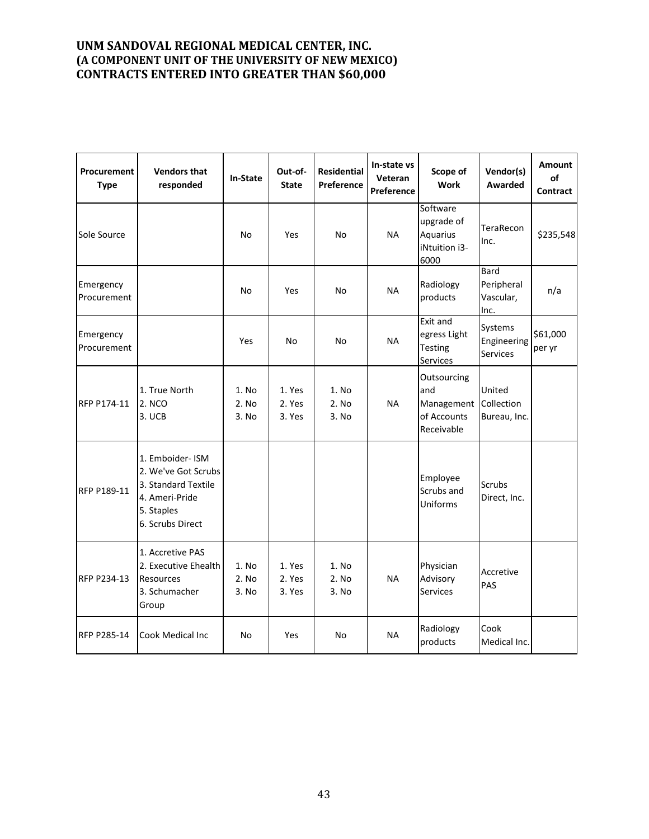### **UNM SANDOVAL REGIONAL MEDICAL CENTER, INC. (A COMPONENT UNIT OF THE UNIVERSITY OF NEW MEXICO) CONTRACTS ENTERED INTO GREATER THAN \$60,000**

| Procurement<br><b>Type</b> | <b>Vendors that</b><br>responded                                                                                   | In-State                | Out-of-<br><b>State</b>    | <b>Residential</b><br>Preference | In-state vs<br>Veteran<br>Preference | Scope of<br><b>Work</b>                                       | Vendor(s)<br>Awarded                           | Amount<br>of<br>Contract |
|----------------------------|--------------------------------------------------------------------------------------------------------------------|-------------------------|----------------------------|----------------------------------|--------------------------------------|---------------------------------------------------------------|------------------------------------------------|--------------------------|
| Sole Source                |                                                                                                                    | No                      | Yes                        | No                               | <b>NA</b>                            | Software<br>upgrade of<br>Aquarius<br>iNtuition i3-<br>6000   | TeraRecon<br>Inc.                              | \$235,548                |
| Emergency<br>Procurement   |                                                                                                                    | No                      | Yes                        | No                               | <b>NA</b>                            | Radiology<br>products                                         | <b>Bard</b><br>Peripheral<br>Vascular,<br>Inc. | n/a                      |
| Emergency<br>Procurement   |                                                                                                                    | Yes                     | No                         | No                               | <b>NA</b>                            | Exit and<br>egress Light<br>Testing<br>Services               | Systems<br>Engineering<br>Services             | \$61,000<br>per yr       |
| RFP P174-11                | 1. True North<br>2. NCO<br>3. UCB                                                                                  | 1. No<br>2. No<br>3. No | 1. Yes<br>2. Yes<br>3. Yes | 1. No<br>2. No<br>3. No          | <b>NA</b>                            | Outsourcing<br>and<br>Management<br>of Accounts<br>Receivable | United<br>Collection<br>Bureau, Inc.           |                          |
| RFP P189-11                | 1. Emboider- ISM<br>2. We've Got Scrubs<br>3. Standard Textile<br>4. Ameri-Pride<br>5. Staples<br>6. Scrubs Direct |                         |                            |                                  |                                      | Employee<br>Scrubs and<br>Uniforms                            | Scrubs<br>Direct, Inc.                         |                          |
| RFP P234-13                | 1. Accretive PAS<br>2. Executive Ehealth<br>Resources<br>3. Schumacher<br>Group                                    | 1. No<br>2. No<br>3. No | 1. Yes<br>2. Yes<br>3. Yes | 1. No<br>2. No<br>3. No          | <b>NA</b>                            | Physician<br>Advisory<br><b>Services</b>                      | Accretive<br>PAS                               |                          |
| RFP P285-14                | Cook Medical Inc                                                                                                   | No                      | Yes                        | No                               | <b>NA</b>                            | Radiology<br>products                                         | Cook<br>Medical Inc.                           |                          |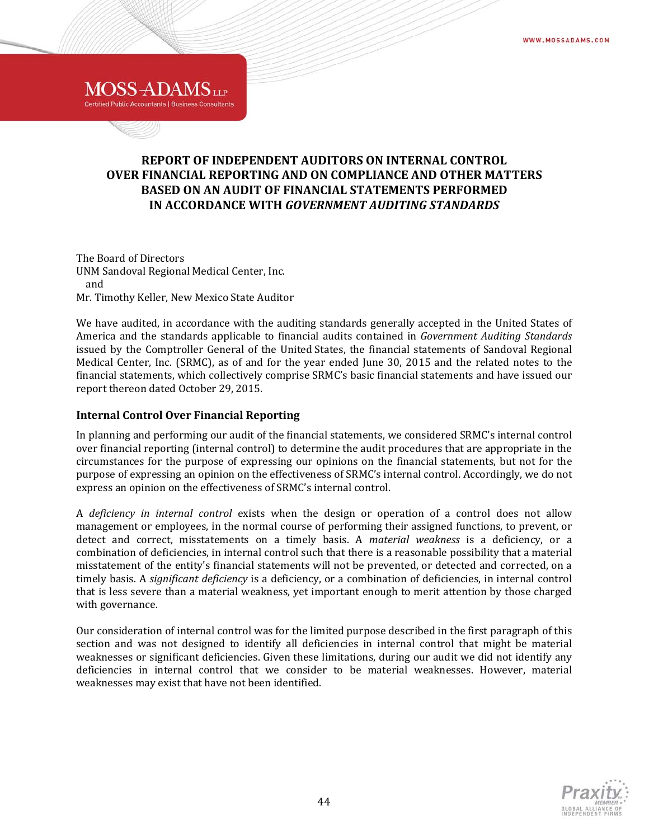### **REPORT OF INDEPENDENT AUDITORS ON INTERNAL CONTROL OVER FINANCIAL REPORTING AND ON COMPLIANCE AND OTHER MATTERS BASED ON AN AUDIT OF FINANCIAL STATEMENTS PERFORMED IN ACCORDANCE WITH** *GOVERNMENT AUDITING STANDARDS*

The Board of Directors UNM Sandoval Regional Medical Center, Inc. and Mr. Timothy Keller, New Mexico State Auditor

**MOSS-ADAMS**<sub>UP</sub> Certified Public Accountants | Business Consultants

We have audited, in accordance with the auditing standards generally accepted in the United States of America and the standards applicable to financial audits contained in *Government Auditing Standards* issued by the Comptroller General of the United States, the financial statements of Sandoval Regional Medical Center, Inc. (SRMC), as of and for the year ended June 30, 2015 and the related notes to the financial statements, which collectively comprise SRMC's basic financial statements and have issued our report thereon dated October 29, 2015.

#### **Internal Control Over Financial Reporting**

In planning and performing our audit of the financial statements, we considered SRMC's internal control over financial reporting (internal control) to determine the audit procedures that are appropriate in the circumstances for the purpose of expressing our opinions on the financial statements, but not for the purpose of expressing an opinion on the effectiveness of SRMC's internal control. Accordingly, we do not express an opinion on the effectiveness of SRMC's internal control.

A *deficiency in internal control* exists when the design or operation of a control does not allow management or employees, in the normal course of performing their assigned functions, to prevent, or detect and correct, misstatements on a timely basis. A *material weakness* is a deficiency, or a combination of deficiencies, in internal control such that there is a reasonable possibility that a material misstatement of the entity's financial statements will not be prevented, or detected and corrected, on a timely basis. A *significant deficiency* is a deficiency, or a combination of deficiencies, in internal control that is less severe than a material weakness, yet important enough to merit attention by those charged with governance.

Our consideration of internal control was for the limited purpose described in the first paragraph of this section and was not designed to identify all deficiencies in internal control that might be material weaknesses or significant deficiencies. Given these limitations, during our audit we did not identify any deficiencies in internal control that we consider to be material weaknesses. However, material weaknesses may exist that have not been identified.

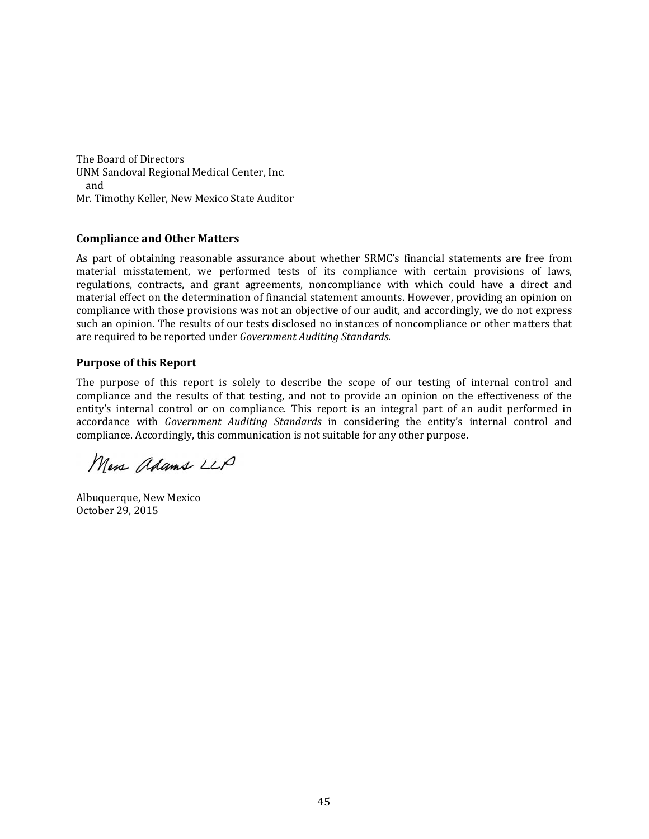The Board of Directors UNM Sandoval Regional Medical Center, Inc. and Mr. Timothy Keller, New Mexico State Auditor

#### **Compliance and Other Matters**

As part of obtaining reasonable assurance about whether SRMC's financial statements are free from material misstatement, we performed tests of its compliance with certain provisions of laws, regulations, contracts, and grant agreements, noncompliance with which could have a direct and material effect on the determination of financial statement amounts. However, providing an opinion on compliance with those provisions was not an objective of our audit, and accordingly, we do not express such an opinion. The results of our tests disclosed no instances of noncompliance or other matters that are required to be reported under *Government Auditing Standards*.

#### **Purpose of this Report**

The purpose of this report is solely to describe the scope of our testing of internal control and compliance and the results of that testing, and not to provide an opinion on the effectiveness of the entity's internal control or on compliance. This report is an integral part of an audit performed in accordance with *Government Auditing Standards* in considering the entity's internal control and compliance. Accordingly, this communication is not suitable for any other purpose.

Mess adams LLP

Albuquerque, New Mexico October 29, 2015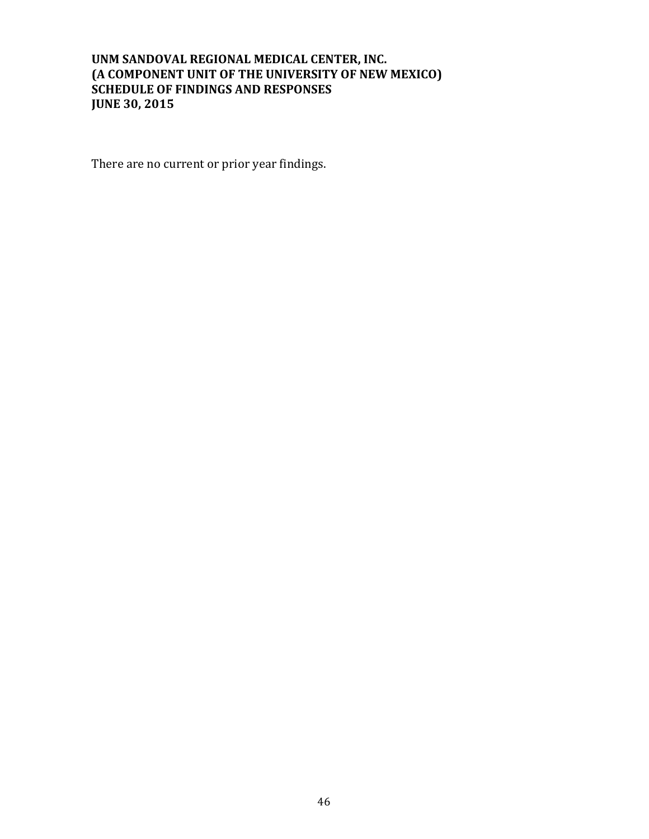### **UNM SANDOVAL REGIONAL MEDICAL CENTER, INC. (A COMPONENT UNIT OF THE UNIVERSITY OF NEW MEXICO) SCHEDULE OF FINDINGS AND RESPONSES JUNE 30, 2015**

There are no current or prior year findings.